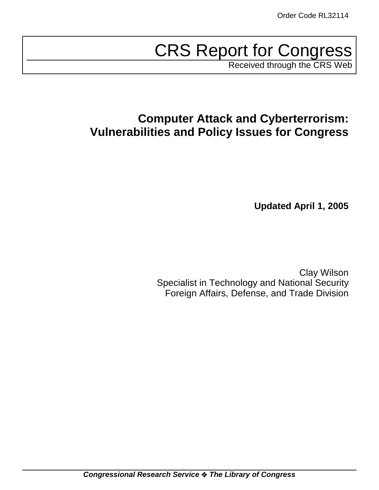# CRS Report for Congress

Received through the CRS Web

## **Computer Attack and Cyberterrorism: Vulnerabilities and Policy Issues for Congress**

**Updated April 1, 2005**

Clay Wilson Specialist in Technology and National Security Foreign Affairs, Defense, and Trade Division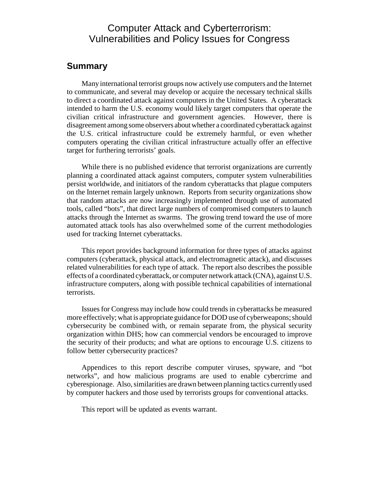## Computer Attack and Cyberterrorism: Vulnerabilities and Policy Issues for Congress

## **Summary**

Many international terrorist groups now actively use computers and the Internet to communicate, and several may develop or acquire the necessary technical skills to direct a coordinated attack against computers in the United States. A cyberattack intended to harm the U.S. economy would likely target computers that operate the civilian critical infrastructure and government agencies. However, there is disagreement among some observers about whether a coordinated cyberattack against the U.S. critical infrastructure could be extremely harmful, or even whether computers operating the civilian critical infrastructure actually offer an effective target for furthering terrorists' goals.

While there is no published evidence that terrorist organizations are currently planning a coordinated attack against computers, computer system vulnerabilities persist worldwide, and initiators of the random cyberattacks that plague computers on the Internet remain largely unknown. Reports from security organizations show that random attacks are now increasingly implemented through use of automated tools, called "bots", that direct large numbers of compromised computers to launch attacks through the Internet as swarms. The growing trend toward the use of more automated attack tools has also overwhelmed some of the current methodologies used for tracking Internet cyberattacks.

This report provides background information for three types of attacks against computers (cyberattack, physical attack, and electromagnetic attack), and discusses related vulnerabilities for each type of attack. The report also describes the possible effects of a coordinated cyberattack, or computer network attack (CNA), against U.S. infrastructure computers, along with possible technical capabilities of international terrorists.

Issues for Congress may include how could trends in cyberattacks be measured more effectively; what is appropriate guidance for DOD use of cyberweapons; should cybersecurity be combined with, or remain separate from, the physical security organization within DHS; how can commercial vendors be encouraged to improve the security of their products; and what are options to encourage U.S. citizens to follow better cybersecurity practices?

Appendices to this report describe computer viruses, spyware, and "bot networks", and how malicious programs are used to enable cybercrime and cyberespionage. Also, similarities are drawn between planning tactics currently used by computer hackers and those used by terrorists groups for conventional attacks.

This report will be updated as events warrant.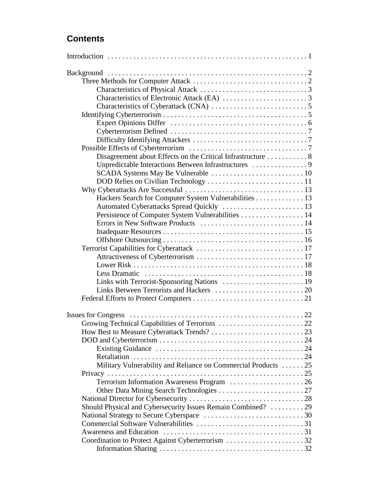## **Contents**

| Disagreement about Effects on the Critical Infrastructure  8   |  |
|----------------------------------------------------------------|--|
|                                                                |  |
|                                                                |  |
|                                                                |  |
|                                                                |  |
| Hackers Search for Computer System Vulnerabilities 13          |  |
| Automated Cyberattacks Spread Quickly  13                      |  |
| Persistence of Computer System Vulnerabilities 14              |  |
|                                                                |  |
|                                                                |  |
|                                                                |  |
|                                                                |  |
|                                                                |  |
|                                                                |  |
|                                                                |  |
|                                                                |  |
|                                                                |  |
|                                                                |  |
|                                                                |  |
|                                                                |  |
|                                                                |  |
|                                                                |  |
|                                                                |  |
|                                                                |  |
|                                                                |  |
| Military Vulnerability and Reliance on Commercial Products  25 |  |
|                                                                |  |
|                                                                |  |
|                                                                |  |
|                                                                |  |
|                                                                |  |
| Should Physical and Cybersecurity Issues Remain Combined?  29  |  |
|                                                                |  |
|                                                                |  |
|                                                                |  |
| Coordination to Protect Against Cyberterrorism 32              |  |
|                                                                |  |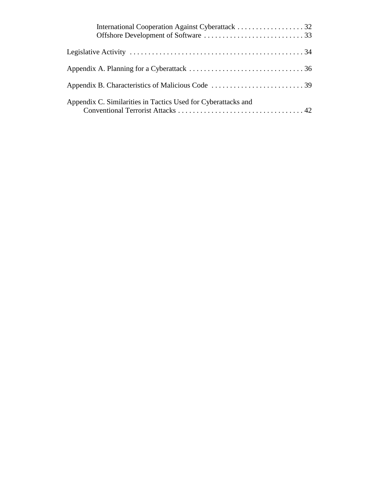| International Cooperation Against Cyberattack 32              |  |
|---------------------------------------------------------------|--|
|                                                               |  |
|                                                               |  |
|                                                               |  |
| Appendix C. Similarities in Tactics Used for Cyberattacks and |  |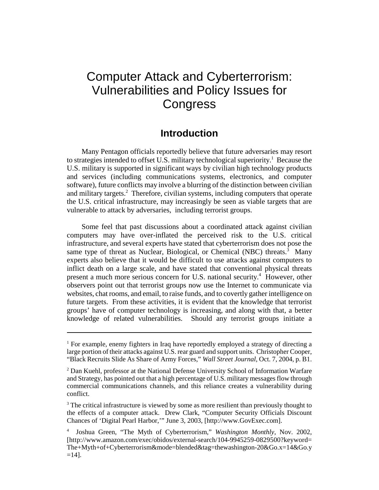## Computer Attack and Cyberterrorism: Vulnerabilities and Policy Issues for **Congress**

## **Introduction**

Many Pentagon officials reportedly believe that future adversaries may resort to strategies intended to offset U.S. military technological superiority.<sup>1</sup> Because the U.S. military is supported in significant ways by civilian high technology products and services (including communications systems, electronics, and computer software), future conflicts may involve a blurring of the distinction between civilian and military targets.<sup>2</sup> Therefore, civilian systems, including computers that operate the U.S. critical infrastructure, may increasingly be seen as viable targets that are vulnerable to attack by adversaries, including terrorist groups.

Some feel that past discussions about a coordinated attack against civilian computers may have over-inflated the perceived risk to the U.S. critical infrastructure, and several experts have stated that cyberterrorism does not pose the same type of threat as Nuclear, Biological, or Chemical (NBC) threats.<sup>3</sup> Many experts also believe that it would be difficult to use attacks against computers to inflict death on a large scale, and have stated that conventional physical threats present a much more serious concern for U.S. national security.<sup>4</sup> However, other observers point out that terrorist groups now use the Internet to communicate via websites, chat rooms, and email, to raise funds, and to covertly gather intelligence on future targets. From these activities, it is evident that the knowledge that terrorist groups' have of computer technology is increasing, and along with that, a better knowledge of related vulnerabilities. Should any terrorist groups initiate a

<sup>&</sup>lt;sup>1</sup> For example, enemy fighters in Iraq have reportedly employed a strategy of directing a large portion of their attacks against U.S. rear guard and support units. Christopher Cooper, "Black Recruits Slide As Share of Army Forces," *Wall Street Journal*, Oct. 7, 2004, p. B1.

<sup>&</sup>lt;sup>2</sup> Dan Kuehl, professor at the National Defense University School of Information Warfare and Strategy, has pointed out that a high percentage of U.S. military messages flow through commercial communications channels, and this reliance creates a vulnerability during conflict.

 $3$  The critical infrastructure is viewed by some as more resilient than previously thought to the effects of a computer attack. Drew Clark, "Computer Security Officials Discount Chances of 'Digital Pearl Harbor,'" June 3, 2003, [http://www.GovExec.com].

<sup>4</sup> Joshua Green, "The Myth of Cyberterrorism," *Washington Monthly*, Nov. 2002, [http://www.amazon.com/exec/obidos/external-search/104-9945259-0829500?keyword= The+Myth+of+Cyberterrorism&mode=blended&tag=thewashington-20&Go.x=14&Go.y  $=14$ ].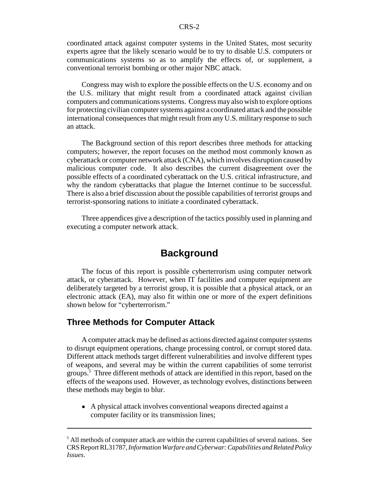coordinated attack against computer systems in the United States, most security experts agree that the likely scenario would be to try to disable U.S. computers or communications systems so as to amplify the effects of, or supplement, a conventional terrorist bombing or other major NBC attack.

Congress may wish to explore the possible effects on the U.S. economy and on the U.S. military that might result from a coordinated attack against civilian computers and communications systems. Congress may also wish to explore options for protecting civilian computer systems against a coordinated attack and the possible international consequences that might result from any U.S. military response to such an attack.

The Background section of this report describes three methods for attacking computers; however, the report focuses on the method most commonly known as cyberattack or computer network attack (CNA), which involves disruption caused by malicious computer code. It also describes the current disagreement over the possible effects of a coordinated cyberattack on the U.S. critical infrastructure, and why the random cyberattacks that plague the Internet continue to be successful. There is also a brief discussion about the possible capabilities of terrorist groups and terrorist-sponsoring nations to initiate a coordinated cyberattack.

Three appendices give a description of the tactics possibly used in planning and executing a computer network attack.

## **Background**

The focus of this report is possible cyberterrorism using computer network attack, or cyberattack. However, when IT facilities and computer equipment are deliberately targeted by a terrorist group, it is possible that a physical attack, or an electronic attack (EA), may also fit within one or more of the expert definitions shown below for "cyberterrorism."

#### **Three Methods for Computer Attack**

A computer attack may be defined as actions directed against computer systems to disrupt equipment operations, change processing control, or corrupt stored data. Different attack methods target different vulnerabilities and involve different types of weapons, and several may be within the current capabilities of some terrorist groups.<sup>5</sup> Three different methods of attack are identified in this report, based on the effects of the weapons used. However, as technology evolves, distinctions between these methods may begin to blur.

• A physical attack involves conventional weapons directed against a computer facility or its transmission lines;

<sup>&</sup>lt;sup>5</sup> All methods of computer attack are within the current capabilities of several nations. See CRS Report RL31787, *Information Warfare and Cyberwar: Capabilities and Related Policy Issues*.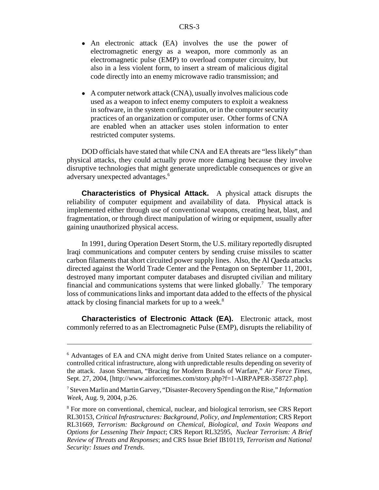- An electronic attack (EA) involves the use the power of electromagnetic energy as a weapon, more commonly as an electromagnetic pulse (EMP) to overload computer circuitry, but also in a less violent form, to insert a stream of malicious digital code directly into an enemy microwave radio transmission; and
- A computer network attack (CNA), usually involves malicious code used as a weapon to infect enemy computers to exploit a weakness in software, in the system configuration, or in the computer security practices of an organization or computer user. Other forms of CNA are enabled when an attacker uses stolen information to enter restricted computer systems.

DOD officials have stated that while CNA and EA threats are "less likely" than physical attacks, they could actually prove more damaging because they involve disruptive technologies that might generate unpredictable consequences or give an adversary unexpected advantages.<sup>6</sup>

**Characteristics of Physical Attack.** A physical attack disrupts the reliability of computer equipment and availability of data. Physical attack is implemented either through use of conventional weapons, creating heat, blast, and fragmentation, or through direct manipulation of wiring or equipment, usually after gaining unauthorized physical access.

In 1991, during Operation Desert Storm, the U.S. military reportedly disrupted Iraqi communications and computer centers by sending cruise missiles to scatter carbon filaments that short circuited power supply lines. Also, the Al Qaeda attacks directed against the World Trade Center and the Pentagon on September 11, 2001, destroyed many important computer databases and disrupted civilian and military financial and communications systems that were linked globally.<sup>7</sup> The temporary loss of communications links and important data added to the effects of the physical attack by closing financial markets for up to a week.8

**Characteristics of Electronic Attack (EA).** Electronic attack, most commonly referred to as an Electromagnetic Pulse (EMP), disrupts the reliability of

<sup>&</sup>lt;sup>6</sup> Advantages of EA and CNA might derive from United States reliance on a computercontrolled critical infrastructure, along with unpredictable results depending on severity of the attack. Jason Sherman, "Bracing for Modern Brands of Warfare," *Air Force Times*, Sept. 27, 2004, [http://www.airforcetimes.com/story.php?f=1-AIRPAPER-358727.php].

<sup>7</sup> Steven Marlin and Martin Garvey, "Disaster-Recovery Spending on the Rise," *Information Week*, Aug. 9, 2004, p.26.

<sup>&</sup>lt;sup>8</sup> For more on conventional, chemical, nuclear, and biological terrorism, see CRS Report RL30153, *Critical Infrastructures: Background, Policy, and Implementation*; CRS Report RL31669, *Terrorism: Background on Chemical, Biological, and Toxin Weapons and Options for Lessening Their Impact*; CRS Report RL32595, *Nuclear Terrorism: A Brief Review of Threats and Responses*; and CRS Issue Brief IB10119, *Terrorism and National Security: Issues and Trends*.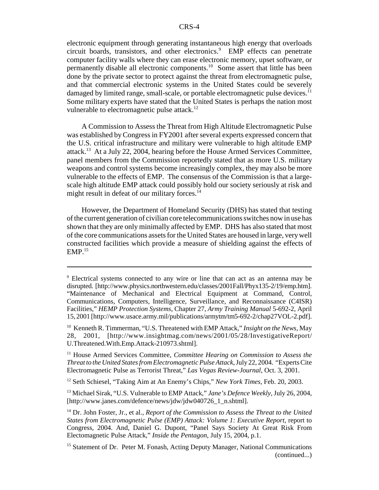electronic equipment through generating instantaneous high energy that overloads circuit boards, transistors, and other electronics.<sup>9</sup> EMP effects can penetrate computer facility walls where they can erase electronic memory, upset software, or permanently disable all electronic components.10 Some assert that little has been done by the private sector to protect against the threat from electromagnetic pulse, and that commercial electronic systems in the United States could be severely damaged by limited range, small-scale, or portable electromagnetic pulse devices.<sup>11</sup> Some military experts have stated that the United States is perhaps the nation most vulnerable to electromagnetic pulse attack.<sup>12</sup>

A Commission to Assess the Threat from High Altitude Electromagnetic Pulse was established by Congress in FY2001 after several experts expressed concern that the U.S. critical infrastructure and military were vulnerable to high altitude EMP attack.13 At a July 22, 2004, hearing before the House Armed Services Committee, panel members from the Commission reportedly stated that as more U.S. military weapons and control systems become increasingly complex, they may also be more vulnerable to the effects of EMP. The consensus of the Commission is that a largescale high altitude EMP attack could possibly hold our society seriously at risk and might result in defeat of our military forces.<sup>14</sup>

However, the Department of Homeland Security (DHS) has stated that testing of the current generation of civilian core telecommunications switches now in use has shown that they are only minimally affected by EMP. DHS has also stated that most of the core communications assets for the United States are housed in large, very well constructed facilities which provide a measure of shielding against the effects of  $EMP.<sup>15</sup>$ 

12 Seth Schiesel, "Taking Aim at An Enemy's Chips," *New York Times*, Feb. 20, 2003.

13 Michael Sirak, "U.S. Vulnerable to EMP Attack," *Jane's Defence Weekly*, July 26, 2004, [http://www.janes.com/defence/news/jdw/jdw040726\_1\_n.shtml].

<sup>&</sup>lt;sup>9</sup> Electrical systems connected to any wire or line that can act as an antenna may be disrupted. [http://www.physics.northwestern.edu/classes/2001Fall/Phyx135-2/19/emp.htm]. "Maintenance of Mechanical and Electrical Equipment at Command, Control, Communications, Computers, Intelligence, Surveillance, and Reconnaissance (C4ISR) Facilities," *HEMP Protection Systems*, Chapter 27, *Army Training Manual* 5-692-2, April 15, 2001 [http://www.usace.army.mil/publications/armytm/tm5-692-2/chap27VOL-2.pdf].

<sup>10</sup> Kenneth R. Timmerman, "U.S. Threatened with EMP Attack," *Insight on the News*, May 28, 2001, [http://www.insightmag.com/news/2001/05/28/InvestigativeReport/ U.Threatened.With.Emp.Attack-210973.shtml].

<sup>11</sup> House Armed Services Committee, *Committee Hearing on Commission to Assess the Threat to the United States from Electromagnetic Pulse Attack*, July 22, 2004. "Experts Cite Electromagnetic Pulse as Terrorist Threat," *Las Vegas Review-Journal*, Oct. 3, 2001.

<sup>14</sup> Dr. John Foster, Jr., et al., *Report of the Commission to Assess the Threat to the United States from Electromagnetic Pulse (EMP) Attack: Volume 1: Executive Report*, report to Congress, 2004. And, Daniel G. Dupont, "Panel Says Society At Great Risk From Electomagnetic Pulse Attack," *Inside the Pentagon*, July 15, 2004, p.1.

<sup>&</sup>lt;sup>15</sup> Statement of Dr. Peter M. Fonash, Acting Deputy Manager, National Communications (continued...)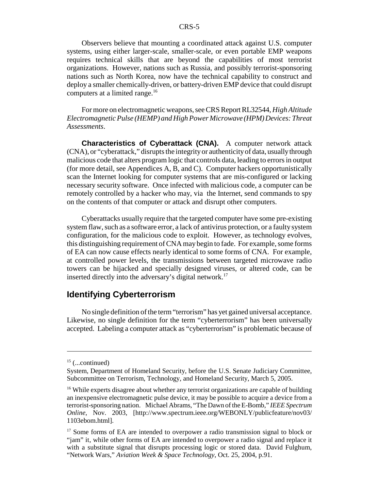Observers believe that mounting a coordinated attack against U.S. computer systems, using either larger-scale, smaller-scale, or even portable EMP weapons requires technical skills that are beyond the capabilities of most terrorist organizations. However, nations such as Russia, and possibly terrorist-sponsoring nations such as North Korea, now have the technical capability to construct and deploy a smaller chemically-driven, or battery-driven EMP device that could disrupt computers at a limited range.<sup>16</sup>

For more on electromagnetic weapons, see CRS Report RL32544, *High Altitude Electromagnetic Pulse (HEMP) and High Power Microwave (HPM) Devices: Threat Assessments*.

**Characteristics of Cyberattack (CNA).** A computer network attack (CNA), or "cyberattack," disrupts the integrity or authenticity of data, usually through malicious code that alters program logic that controls data, leading to errors in output (for more detail, see Appendices A, B, and C). Computer hackers opportunistically scan the Internet looking for computer systems that are mis-configured or lacking necessary security software. Once infected with malicious code, a computer can be remotely controlled by a hacker who may, via the Internet, send commands to spy on the contents of that computer or attack and disrupt other computers.

Cyberattacks usually require that the targeted computer have some pre-existing system flaw, such as a software error, a lack of antivirus protection, or a faulty system configuration, for the malicious code to exploit. However, as technology evolves, this distinguishing requirement of CNA may begin to fade. For example, some forms of EA can now cause effects nearly identical to some forms of CNA. For example, at controlled power levels, the transmissions between targeted microwave radio towers can be hijacked and specially designed viruses, or altered code, can be inserted directly into the adversary's digital network.<sup>17</sup>

#### **Identifying Cyberterrorism**

No single definition of the term "terrorism" has yet gained universal acceptance. Likewise, no single definition for the term "cyberterrorism" has been universally accepted. Labeling a computer attack as "cyberterrorism" is problematic because of

 $15$  (...continued)

System, Department of Homeland Security, before the U.S. Senate Judiciary Committee, Subcommittee on Terrorism, Technology, and Homeland Security, March 5, 2005.

 $16$  While experts disagree about whether any terrorist organizations are capable of building an inexpensive electromagnetic pulse device, it may be possible to acquire a device from a terrorist-sponsoring nation. Michael Abrams, "The Dawn of the E-Bomb," *IEEE Spectrum Online*, Nov. 2003, [http://www.spectrum.ieee.org/WEBONLY/publicfeature/nov03/ 1103ebom.html].

<sup>&</sup>lt;sup>17</sup> Some forms of EA are intended to overpower a radio transmission signal to block or "jam" it, while other forms of EA are intended to overpower a radio signal and replace it with a substitute signal that disrupts processing logic or stored data. David Fulghum, "Network Wars," *Aviation Week & Space Technology*, Oct. 25, 2004, p.91.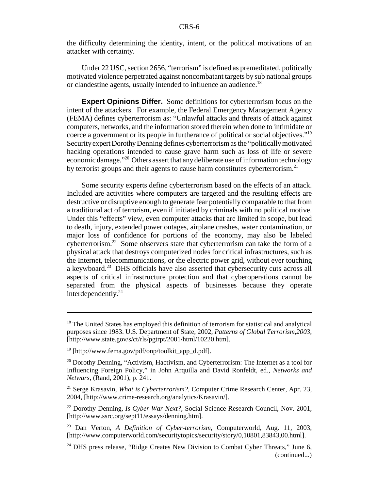the difficulty determining the identity, intent, or the political motivations of an attacker with certainty.

Under 22 USC, section 2656, "terrorism" is defined as premeditated, politically motivated violence perpetrated against noncombatant targets by sub national groups or clandestine agents, usually intended to influence an audience.18

**Expert Opinions Differ.** Some definitions for cyberterrorism focus on the intent of the attackers. For example, the Federal Emergency Management Agency (FEMA) defines cyberterrorism as: "Unlawful attacks and threats of attack against computers, networks, and the information stored therein when done to intimidate or coerce a government or its people in furtherance of political or social objectives."19 Security expert Dorothy Denning defines cyberterrorism as the "politically motivated hacking operations intended to cause grave harm such as loss of life or severe economic damage."20 Others assert that any deliberate use of information technology by terrorist groups and their agents to cause harm constitutes cyberterrorism.<sup>21</sup>

Some security experts define cyberterrorism based on the effects of an attack. Included are activities where computers are targeted and the resulting effects are destructive or disruptive enough to generate fear potentially comparable to that from a traditional act of terrorism, even if initiated by criminals with no political motive. Under this "effects" view, even computer attacks that are limited in scope, but lead to death, injury, extended power outages, airplane crashes, water contamination, or major loss of confidence for portions of the economy, may also be labeled cyberterrorism.22 Some observers state that cyberterrorism can take the form of a physical attack that destroys computerized nodes for critical infrastructures, such as the Internet, telecommunications, or the electric power grid, without ever touching a keywboard.<sup>23</sup> DHS officials have also asserted that cybersecurity cuts across all aspects of critical infrastructure protection and that cyberoperations cannot be separated from the physical aspects of businesses because they operate interdependently.<sup>24</sup>

<sup>&</sup>lt;sup>18</sup> The United States has employed this definition of terrorism for statistical and analytical purposes since 1983. U.S. Department of State, 2002, *Patterns of Global Terrorism,2003*, [http://www.state.gov/s/ct/rls/pgtrpt/2001/html/10220.htm].

 $19$  [http://www.fema.gov/pdf/onp/toolkit\_app\_d.pdf].

<sup>&</sup>lt;sup>20</sup> Dorothy Denning, "Activism, Hactivism, and Cyberterrorism: The Internet as a tool for Influencing Foreign Policy," in John Arquilla and David Ronfeldt, ed., *Networks and Netwars*, (Rand, 2001), p. 241.

<sup>21</sup> Serge Krasavin, *What is Cyberterrorism?*, Computer Crime Research Center, Apr. 23, 2004, [http://www.crime-research.org/analytics/Krasavin/].

<sup>&</sup>lt;sup>22</sup> Dorothy Denning, *Is Cyber War Next?*, Social Science Research Council, Nov. 2001, [http://www.ssrc.org/sept11/essays/denning.htm].

<sup>23</sup> Dan Verton, *A Definition of Cyber-terrorism*, Computerworld, Aug. 11, 2003, [http://www.computerworld.com/securitytopics/security/story/0,10801,83843,00.html].

<sup>&</sup>lt;sup>24</sup> DHS press release, "Ridge Creates New Division to Combat Cyber Threats," June 6, (continued...)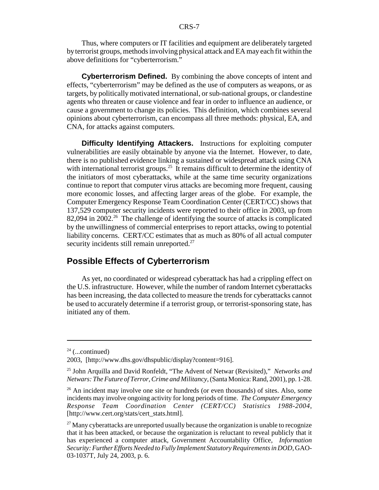Thus, where computers or IT facilities and equipment are deliberately targeted by terrorist groups, methods involving physical attack and EA may each fit within the above definitions for "cyberterrorism."

**Cyberterrorism Defined.** By combining the above concepts of intent and effects, "cyberterrorism" may be defined as the use of computers as weapons, or as targets, by politically motivated international, or sub-national groups, or clandestine agents who threaten or cause violence and fear in order to influence an audience, or cause a government to change its policies. This definition, which combines several opinions about cyberterrorism, can encompass all three methods: physical, EA, and CNA, for attacks against computers.

**Difficulty Identifying Attackers.** Instructions for exploiting computer vulnerabilities are easily obtainable by anyone via the Internet. However, to date, there is no published evidence linking a sustained or widespread attack using CNA with international terrorist groups.<sup>25</sup> It remains difficult to determine the identity of the initiators of most cyberattacks, while at the same time security organizations continue to report that computer virus attacks are becoming more frequent, causing more economic losses, and affecting larger areas of the globe. For example, the Computer Emergency Response Team Coordination Center (CERT/CC) shows that 137,529 computer security incidents were reported to their office in 2003, up from 82,094 in 2002.<sup>26</sup> The challenge of identifying the source of attacks is complicated by the unwillingness of commercial enterprises to report attacks, owing to potential liability concerns. CERT/CC estimates that as much as 80% of all actual computer security incidents still remain unreported.<sup>27</sup>

## **Possible Effects of Cyberterrorism**

As yet, no coordinated or widespread cyberattack has had a crippling effect on the U.S. infrastructure. However, while the number of random Internet cyberattacks has been increasing, the data collected to measure the trends for cyberattacks cannot be used to accurately determine if a terrorist group, or terrorist-sponsoring state, has initiated any of them.

 $24$  (...continued)

<sup>2003, [</sup>http://www.dhs.gov/dhspublic/display?content=916].

<sup>25</sup> John Arquilla and David Ronfeldt, "The Advent of Netwar (Revisited)," *Networks and Netwars: The Future of Terror, Crime and Militancy*, (Santa Monica: Rand, 2001), pp. 1-28.

 $26$  An incident may involve one site or hundreds (or even thousands) of sites. Also, some incidents may involve ongoing activity for long periods of time. *The Computer Emergency Response Team Coordination Center (CERT/CC) Statistics 1988-2004*, [http://www.cert.org/stats/cert\_stats.html].

 $27$  Many cyberattacks are unreported usually because the organization is unable to recognize that it has been attacked, or because the organization is reluctant to reveal publicly that it has experienced a computer attack, Government Accountability Office, *Information Security: Further Efforts Needed to Fully Implement Statutory Requirements in DOD*, GAO-03-1037T, July 24, 2003, p. 6.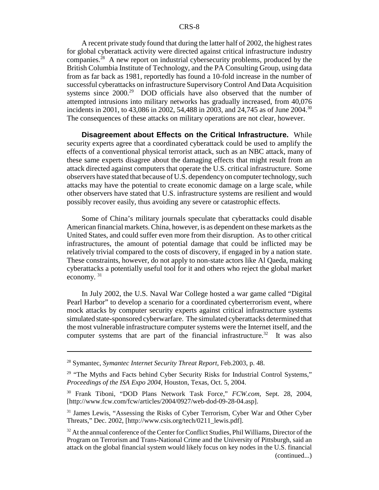A recent private study found that during the latter half of 2002, the highest rates for global cyberattack activity were directed against critical infrastructure industry companies.28 A new report on industrial cybersecurity problems, produced by the British Columbia Institute of Technology, and the PA Consulting Group, using data from as far back as 1981, reportedly has found a 10-fold increase in the number of successful cyberattacks on infrastructure Supervisory Control And Data Acquisition systems since 2000.<sup>29</sup> DOD officials have also observed that the number of attempted intrusions into military networks has gradually increased, from 40,076 incidents in 2001, to 43,086 in 2002, 54,488 in 2003, and 24,745 as of June 2004.<sup>30</sup> The consequences of these attacks on military operations are not clear, however.

**Disagreement about Effects on the Critical Infrastructure.** While security experts agree that a coordinated cyberattack could be used to amplify the effects of a conventional physical terrorist attack, such as an NBC attack, many of these same experts disagree about the damaging effects that might result from an attack directed against computers that operate the U.S. critical infrastructure. Some observers have stated that because of U.S. dependency on computer technology, such attacks may have the potential to create economic damage on a large scale, while other observers have stated that U.S. infrastructure systems are resilient and would possibly recover easily, thus avoiding any severe or catastrophic effects.

Some of China's military journals speculate that cyberattacks could disable American financial markets. China, however, is as dependent on these markets as the United States, and could suffer even more from their disruption. As to other critical infrastructures, the amount of potential damage that could be inflicted may be relatively trivial compared to the costs of discovery, if engaged in by a nation state. These constraints, however, do not apply to non-state actors like Al Qaeda, making cyberattacks a potentially useful tool for it and others who reject the global market economy. 31

In July 2002, the U.S. Naval War College hosted a war game called "Digital Pearl Harbor" to develop a scenario for a coordinated cyberterrorism event, where mock attacks by computer security experts against critical infrastructure systems simulated state-sponsored cyberwarfare. The simulated cyberattacks determined that the most vulnerable infrastructure computer systems were the Internet itself, and the computer systems that are part of the financial infrastructure.<sup>32</sup> It was also

<sup>28</sup> Symantec, *Symantec Internet Security Threat Report*, Feb.2003, p. 48.

<sup>&</sup>lt;sup>29</sup> "The Myths and Facts behind Cyber Security Risks for Industrial Control Systems," *Proceedings of the ISA Expo 2004*, Houston, Texas, Oct. 5, 2004.

<sup>30</sup> Frank Tiboni, "DOD Plans Network Task Force," *FCW.com*, Sept. 28, 2004, [http://www.fcw.com/fcw/articles/2004/0927/web-dod-09-28-04.asp].

<sup>&</sup>lt;sup>31</sup> James Lewis, "Assessing the Risks of Cyber Terrorism, Cyber War and Other Cyber Threats," Dec. 2002, [http://www.csis.org/tech/0211\_lewis.pdf].

<sup>&</sup>lt;sup>32</sup> At the annual conference of the Center for Conflict Studies, Phil Williams, Director of the Program on Terrorism and Trans-National Crime and the University of Pittsburgh, said an attack on the global financial system would likely focus on key nodes in the U.S. financial (continued...)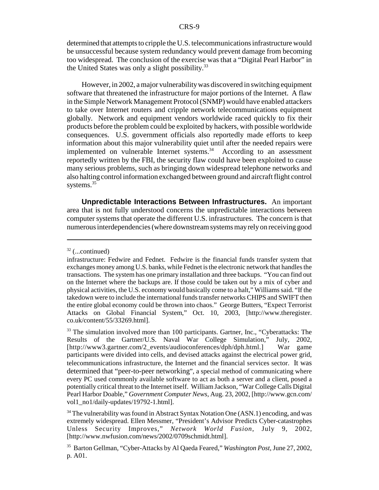determined that attempts to cripple the U.S. telecommunications infrastructure would be unsuccessful because system redundancy would prevent damage from becoming too widespread. The conclusion of the exercise was that a "Digital Pearl Harbor" in the United States was only a slight possibility.<sup>33</sup>

However, in 2002, a major vulnerability was discovered in switching equipment software that threatened the infrastructure for major portions of the Internet. A flaw in the Simple Network Management Protocol (SNMP) would have enabled attackers to take over Internet routers and cripple network telecommunications equipment globally. Network and equipment vendors worldwide raced quickly to fix their products before the problem could be exploited by hackers, with possible worldwide consequences. U.S. government officials also reportedly made efforts to keep information about this major vulnerability quiet until after the needed repairs were implemented on vulnerable Internet systems. $34$  According to an assessment reportedly written by the FBI, the security flaw could have been exploited to cause many serious problems, such as bringing down widespread telephone networks and also halting control information exchanged between ground and aircraft flight control systems.<sup>35</sup>

**Unpredictable Interactions Between Infrastructures.** An important area that is not fully understood concerns the unpredictable interactions between computer systems that operate the different U.S. infrastructures. The concern is that numerous interdependencies (where downstream systems may rely on receiving good

 $32$  (...continued)

infrastructure: Fedwire and Fednet. Fedwire is the financial funds transfer system that exchanges money among U.S. banks, while Fednet is the electronic network that handles the transactions. The system has one primary installation and three backups. "You can find out on the Internet where the backups are. If those could be taken out by a mix of cyber and physical activities, the U.S. economy would basically come to a halt," Williams said. "If the takedown were to include the international funds transfer networks CHIPS and SWIFT then the entire global economy could be thrown into chaos." George Butters, "Expect Terrorist Attacks on Global Financial System," Oct. 10, 2003, [http://www.theregister. co.uk/content/55/33269.html].

<sup>&</sup>lt;sup>33</sup> The simulation involved more than 100 participants. Gartner, Inc., "Cyberattacks: The Results of the Gartner/U.S. Naval War College Simulation," July, 2002, [http://www3.gartner.com/2 events/audioconferences/dph/dph.html.] War game [http://www3.gartner.com/2\_events/audioconferences/dph/dph.html.] participants were divided into cells, and devised attacks against the electrical power grid, telecommunications infrastructure, the Internet and the financial services sector. It was determined that "peer-to-peer networking", a special method of communicating where every PC used commonly available software to act as both a server and a client, posed a potentially critical threat to the Internet itself. William Jackson, "War College Calls Digital Pearl Harbor Doable," *Government Computer News*, Aug. 23, 2002, [http://www.gcn.com/ vol1\_no1/daily-updates/19792-1.html].

<sup>&</sup>lt;sup>34</sup> The vulnerability was found in Abstract Syntax Notation One (ASN.1) encoding, and was extremely widespread. Ellen Messmer, "President's Advisor Predicts Cyber-catastrophes Unless Security Improves," *Network World Fusion*, July 9, 2002, [http://www.nwfusion.com/news/2002/0709schmidt.html].

<sup>35</sup> Barton Gellman, "Cyber-Attacks by Al Qaeda Feared," *Washington Post*, June 27, 2002, p. A01.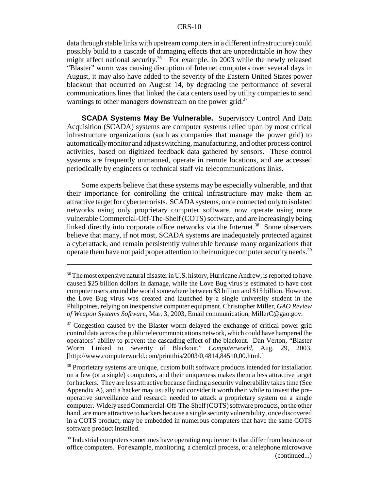data through stable links with upstream computers in a different infrastructure) could possibly build to a cascade of damaging effects that are unpredictable in how they might affect national security.<sup>36</sup> For example, in 2003 while the newly released "Blaster" worm was causing disruption of Internet computers over several days in August, it may also have added to the severity of the Eastern United States power blackout that occurred on August 14, by degrading the performance of several communications lines that linked the data centers used by utility companies to send warnings to other managers downstream on the power grid.<sup>37</sup>

**SCADA Systems May Be Vulnerable.** Supervisory Control And Data Acquisition (SCADA) systems are computer systems relied upon by most critical infrastructure organizations (such as companies that manage the power grid) to automatically monitor and adjust switching, manufacturing, and other process control activities, based on digitized feedback data gathered by sensors. These control systems are frequently unmanned, operate in remote locations, and are accessed periodically by engineers or technical staff via telecommunications links.

Some experts believe that these systems may be especially vulnerable, and that their importance for controlling the critical infrastructure may make them an attractive target for cyberterrorists. SCADA systems, once connected only to isolated networks using only proprietary computer software, now operate using more vulnerable Commercial-Off-The-Shelf (COTS) software, and are increasingly being linked directly into corporate office networks via the Internet.<sup>38</sup> Some observers believe that many, if not most, SCADA systems are inadequately protected against a cyberattack, and remain persistently vulnerable because many organizations that operate them have not paid proper attention to their unique computer security needs.<sup>39</sup>

<sup>&</sup>lt;sup>36</sup> The most expensive natural disaster in U.S. history, Hurricane Andrew, is reported to have caused \$25 billion dollars in damage, while the Love Bug virus is estimated to have cost computer users around the world somewhere between \$3 billion and \$15 billion. However, the Love Bug virus was created and launched by a single university student in the Philippines, relying on inexpensive computer equipment. Christopher Miller, *GAO Review of Weapon Systems Software*, Mar. 3, 2003, Email communication, MillerC@gao.gov.

<sup>&</sup>lt;sup>37</sup> Congestion caused by the Blaster worm delayed the exchange of critical power grid control data across the public telecommunications network, which could have hampered the operators' ability to prevent the cascading effect of the blackout. Dan Verton, "Blaster Worm Linked to Severity of Blackout," *Computerworld*, Aug. 29, 2003, [http://www.computerworld.com/printthis/2003/0,4814,84510,00.html.]

<sup>&</sup>lt;sup>38</sup> Proprietary systems are unique, custom built software products intended for installation on a few (or a single) computers, and their uniqueness makes them a less attractive target for hackers. They are less attractive because finding a security vulnerability takes time (See Appendix A), and a hacker may usually not consider it worth their while to invest the preoperative surveillance and research needed to attack a proprietary system on a single computer. Widely used Commercial-Off-The-Shelf (COTS) software products, on the other hand, are more attractive to hackers because a single security vulnerability, once discovered in a COTS product, may be embedded in numerous computers that have the same COTS software product installed.

<sup>&</sup>lt;sup>39</sup> Industrial computers sometimes have operating requirements that differ from business or office computers. For example, monitoring a chemical process, or a telephone microwave (continued...)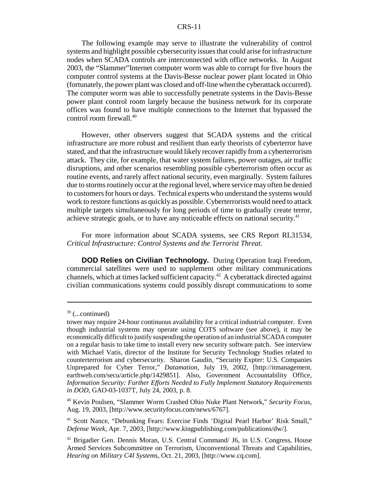The following example may serve to illustrate the vulnerability of control systems and highlight possible cybersecurity issues that could arise for infrastructure nodes when SCADA controls are interconnected with office networks. In August 2003, the "Slammer"Internet computer worm was able to corrupt for five hours the computer control systems at the Davis-Besse nuclear power plant located in Ohio (fortunately, the power plant was closed and off-line when the cyberattack occurred). The computer worm was able to successfully penetrate systems in the Davis-Besse power plant control room largely because the business network for its corporate offices was found to have multiple connections to the Internet that bypassed the control room firewall. $40$ 

However, other observers suggest that SCADA systems and the critical infrastructure are more robust and resilient than early theorists of cyberterror have stated, and that the infrastructure would likely recover rapidly from a cyberterrorism attack. They cite, for example, that water system failures, power outages, air traffic disruptions, and other scenarios resembling possible cyberterrorism often occur as routine events, and rarely affect national security, even marginally. System failures due to storms routinely occur at the regional level, where service may often be denied to customers for hours or days. Technical experts who understand the systems would work to restore functions as quickly as possible. Cyberterrorists would need to attack multiple targets simultaneously for long periods of time to gradually create terror, achieve strategic goals, or to have any noticeable effects on national security.<sup>41</sup>

For more information about SCADA systems, see CRS Report RL31534, *Critical Infrastructure: Control Systems and the Terrorist Threat*.

**DOD Relies on Civilian Technology.** During Operation Iraqi Freedom, commercial satellites were used to supplement other military communications channels, which at times lacked sufficient capacity.<sup>42</sup> A cyberattack directed against civilian communications systems could possibly disrupt communications to some

 $39$  (...continued)

tower may require 24-hour continuous availability for a critical industrial computer. Even though industrial systems may operate using COTS software (see above), it may be economically difficult to justify suspending the operation of an industrial SCADA computer on a regular basis to take time to install every new security software patch. See interview with Michael Vatis, director of the Institute for Security Technology Studies related to counterterrorism and cybersecurity. Sharon Gaudin, "Security Expter: U.S. Companies Unprepared for Cyber Terror," *Datamation*, July 19, 2002, [http://itmanagement. earthweb.com/secu/article.php/1429851]. Also, Government Accountability Office, *Information Security: Further Efforts Needed to Fully Implement Statutory Requirements in DOD*, GAO-03-1037T, July 24, 2003, p. 8.

<sup>40</sup> Kevin Poulsen, "Slammer Worm Crashed Ohio Nuke Plant Network," *Security Focus*, Aug. 19, 2003, [http://www.securityfocus.com/news/6767].

<sup>41</sup> Scott Nance, "Debunking Fears: Exercise Finds 'Digital Pearl Harbor' Risk Small," *Defense Week*, Apr. 7, 2003, [http://www.kingpublishing.com/publications/dw/].

<sup>42</sup> Brigadier Gen. Dennis Moran, U.S. Central Command/ J6, in U.S. Congress, House Armed Services Subcommittee on Terrorism, Unconventional Threats and Capabilities, *Hearing on Military C4I Systems*, Oct. 21, 2003, [http://www.cq.com].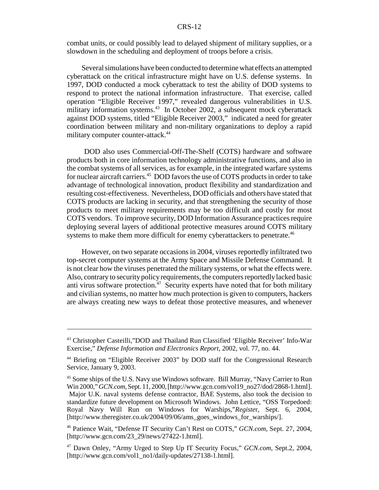combat units, or could possibly lead to delayed shipment of military supplies, or a slowdown in the scheduling and deployment of troops before a crisis.

Several simulations have been conducted to determine what effects an attempted cyberattack on the critical infrastructure might have on U.S. defense systems. In 1997, DOD conducted a mock cyberattack to test the ability of DOD systems to respond to protect the national information infrastructure. That exercise, called operation "Eligible Receiver 1997," revealed dangerous vulnerabilities in U.S. military information systems.<sup>43</sup> In October 2002, a subsequent mock cyberattack against DOD systems, titled "Eligible Receiver 2003," indicated a need for greater coordination between military and non-military organizations to deploy a rapid military computer counter-attack.<sup>44</sup>

 DOD also uses Commercial-Off-The-Shelf (COTS) hardware and software products both in core information technology administrative functions, and also in the combat systems of all services, as for example, in the integrated warfare systems for nuclear aircraft carriers.<sup>45</sup> DOD favors the use of COTS products in order to take advantage of technological innovation, product flexibility and standardization and resulting cost-effectiveness. Nevertheless, DOD officials and others have stated that COTS products are lacking in security, and that strengthening the security of those products to meet military requirements may be too difficult and costly for most COTS vendors. To improve security, DOD Information Assurance practices require deploying several layers of additional protective measures around COTS military systems to make them more difficult for enemy cyberattackers to penetrate.<sup>46</sup>

However, on two separate occasions in 2004, viruses reportedly infiltrated two top-secret computer systems at the Army Space and Missile Defense Command. It is not clear how the viruses penetrated the military systems, or what the effects were. Also, contrary to security policy requirements, the computers reportedly lacked basic anti virus software protection.<sup> $47$ </sup> Security experts have noted that for both military and civilian systems, no matter how much protection is given to computers, hackers are always creating new ways to defeat those protective measures, and whenever

<sup>43</sup> Christopher Casteilli,"DOD and Thailand Run Classified 'Eligible Receiver' Info-War Exercise," *Defense Information and Electronics Report*, 2002, vol. 77, no. 44.

<sup>&</sup>lt;sup>44</sup> Briefing on "Eligible Receiver 2003" by DOD staff for the Congressional Research Service, January 9, 2003.

<sup>&</sup>lt;sup>45</sup> Some ships of the U.S. Navy use Windows software. Bill Murray, "Navy Carrier to Run Win 2000," *GCN.com*, Sept. 11, 2000, [http://www.gcn.com/vol19\_no27/dod/2868-1.html]. Major U.K. naval systems defense contractor, BAE Systems, also took the decision to standardize future development on Microsoft Windows. John Lettice, "OSS Torpedoed: Royal Navy Will Run on Windows for Warships,"*Registe*r, Sept. 6, 2004, [http://www.theregister.co.uk/2004/09/06/ams\_goes\_windows\_for\_warships/].

<sup>46</sup> Patience Wait, "Defense IT Security Can't Rest on COTS," *GCN.com*, Sept. 27, 2004, [http://www.gcn.com/23\_29/news/27422-1.html].

<sup>47</sup> Dawn Onley, "Army Urged to Step Up IT Security Focus," *GCN.com*, Sept.2, 2004, [http://www.gcn.com/vol1\_no1/daily-updates/27138-1.html].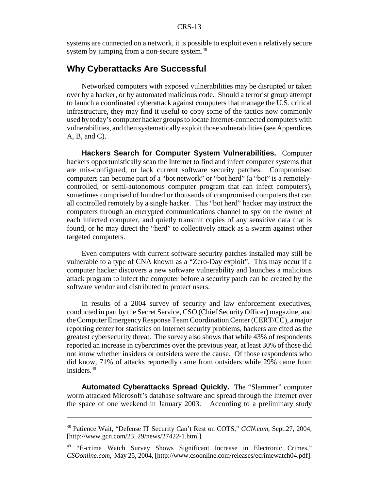systems are connected on a network, it is possible to exploit even a relatively secure system by jumping from a non-secure system.<sup>48</sup>

### **Why Cyberattacks Are Successful**

Networked computers with exposed vulnerabilities may be disrupted or taken over by a hacker, or by automated malicious code. Should a terrorist group attempt to launch a coordinated cyberattack against computers that manage the U.S. critical infrastructure, they may find it useful to copy some of the tactics now commonly used by today's computer hacker groups to locate Internet-connected computers with vulnerabilities, and then systematically exploit those vulnerabilities (see Appendices A, B, and C).

**Hackers Search for Computer System Vulnerabilities.** Computer hackers opportunistically scan the Internet to find and infect computer systems that are mis-configured, or lack current software security patches. Compromised computers can become part of a "bot network" or "bot herd" (a "bot" is a remotelycontrolled, or semi-autonomous computer program that can infect computers), sometimes comprised of hundred or thousands of compromised computers that can all controlled remotely by a single hacker. This "bot herd" hacker may instruct the computers through an encrypted communications channel to spy on the owner of each infected computer, and quietly transmit copies of any sensitive data that is found, or he may direct the "herd" to collectively attack as a swarm against other targeted computers.

Even computers with current software security patches installed may still be vulnerable to a type of CNA known as a "Zero-Day exploit". This may occur if a computer hacker discovers a new software vulnerability and launches a malicious attack program to infect the computer before a security patch can be created by the software vendor and distributed to protect users.

In results of a 2004 survey of security and law enforcement executives, conducted in part by the Secret Service, CSO (Chief Security Officer) magazine, and the Computer Emergency Response Team Coordination Center (CERT/CC), a major reporting center for statistics on Internet security problems, hackers are cited as the greatest cybersecurity threat. The survey also shows that while 43% of respondents reported an increase in cybercrimes over the previous year, at least 30% of those did not know whether insiders or outsiders were the cause. Of those respondents who did know, 71% of attacks reportedly came from outsiders while 29% came from insiders.49

**Automated Cyberattacks Spread Quickly.** The "Slammer" computer worm attacked Microsoft's database software and spread through the Internet over the space of one weekend in January 2003. According to a preliminary study

<sup>48</sup> Patience Wait, "Defense IT Security Can't Rest on COTS," *GCN.com*, Sept.27, 2004, [http://www.gcn.com/23\_29/news/27422-1.html].

<sup>&</sup>lt;sup>49</sup> "E-crime Watch Survey Shows Significant Increase in Electronic Crimes," *CSOonline.com*, May 25, 2004, [http://www.csoonline.com/releases/ecrimewatch04.pdf].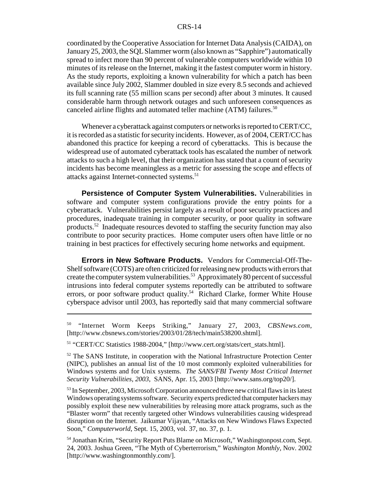coordinated by the Cooperative Association for Internet Data Analysis (CAIDA), on January 25, 2003, the SQL Slammer worm (also known as "Sapphire") automatically spread to infect more than 90 percent of vulnerable computers worldwide within 10 minutes of its release on the Internet, making it the fastest computer worm in history. As the study reports, exploiting a known vulnerability for which a patch has been available since July 2002, Slammer doubled in size every 8.5 seconds and achieved its full scanning rate (55 million scans per second) after about 3 minutes. It caused considerable harm through network outages and such unforeseen consequences as canceled airline flights and automated teller machine (ATM) failures.<sup>50</sup>

Whenever a cyberattack against computers or networks is reported to CERT/CC, it is recorded as a statistic for security incidents. However, as of 2004, CERT/CC has abandoned this practice for keeping a record of cyberattacks. This is because the widespread use of automated cyberattack tools has escalated the number of network attacks to such a high level, that their organization has stated that a count of security incidents has become meaningless as a metric for assessing the scope and effects of attacks against Internet-connected systems.<sup>51</sup>

**Persistence of Computer System Vulnerabilities.** Vulnerabilities in software and computer system configurations provide the entry points for a cyberattack. Vulnerabilities persist largely as a result of poor security practices and procedures, inadequate training in computer security, or poor quality in software products.52 Inadequate resources devoted to staffing the security function may also contribute to poor security practices. Home computer users often have little or no training in best practices for effectively securing home networks and equipment.

**Errors in New Software Products.** Vendors for Commercial-Off-The-Shelf software (COTS) are often criticized for releasing new products with errors that create the computer system vulnerabilities.<sup>53</sup> Approximately 80 percent of successful intrusions into federal computer systems reportedly can be attributed to software errors, or poor software product quality.<sup>54</sup> Richard Clarke, former White House cyberspace advisor until 2003, has reportedly said that many commercial software

<sup>50 &</sup>quot;Internet Worm Keeps Striking," January 27, 2003, *CBSNews.com*, [http://www.cbsnews.com/stories/2003/01/28/tech/main538200.shtml].

<sup>51 &</sup>quot;CERT/CC Statistics 1988-2004," [http://www.cert.org/stats/cert\_stats.html].

 $52$  The SANS Institute, in cooperation with the National Infrastructure Protection Center (NIPC), publishes an annual list of the 10 most commonly exploited vulnerabilities for Windows systems and for Unix systems. *The SANS/FBI Twenty Most Critical Internet Security Vulnerabilities, 2003*, SANS, Apr. 15, 2003 [http://www.sans.org/top20/].

<sup>&</sup>lt;sup>53</sup> In September, 2003, Microsoft Corporation announced three new critical flaws in its latest Windows operating systems software. Security experts predicted that computer hackers may possibly exploit these new vulnerabilities by releasing more attack programs, such as the "Blaster worm" that recently targeted other Windows vulnerabilities causing widespread disruption on the Internet. Jaikumar Vijayan, "Attacks on New Windows Flaws Expected Soon," *Computerworld*, Sept. 15, 2003, vol. 37, no. 37, p. 1.

<sup>&</sup>lt;sup>54</sup> Jonathan Krim, "Security Report Puts Blame on Microsoft," Washingtonpost.com, Sept. 24, 2003. Joshua Green, "The Myth of Cyberterrorism," *Washington Monthly*, Nov. 2002 [http://www.washingtonmonthly.com/].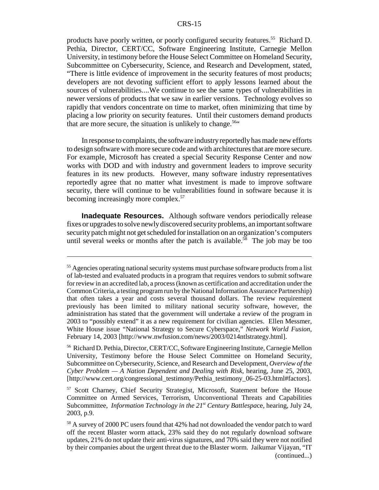products have poorly written, or poorly configured security features.<sup>55</sup> Richard D. Pethia, Director, CERT/CC, Software Engineering Institute, Carnegie Mellon University, in testimony before the House Select Committee on Homeland Security, Subcommittee on Cybersecurity, Science, and Research and Development, stated, "There is little evidence of improvement in the security features of most products; developers are not devoting sufficient effort to apply lessons learned about the sources of vulnerabilities....We continue to see the same types of vulnerabilities in newer versions of products that we saw in earlier versions. Technology evolves so rapidly that vendors concentrate on time to market, often minimizing that time by placing a low priority on security features. Until their customers demand products that are more secure, the situation is unlikely to change.<sup>56 $\cdot$ </sup>

In response to complaints, the software industry reportedly has made new efforts to design software with more secure code and with architectures that are more secure. For example, Microsoft has created a special Security Response Center and now works with DOD and with industry and government leaders to improve security features in its new products. However, many software industry representatives reportedly agree that no matter what investment is made to improve software security, there will continue to be vulnerabilities found in software because it is becoming increasingly more complex.<sup>57</sup>

**Inadequate Resources.** Although software vendors periodically release fixes or upgrades to solve newly discovered security problems, an important software security patch might not get scheduled for installation on an organization's computers until several weeks or months after the patch is available.<sup>58</sup> The job may be too

<sup>&</sup>lt;sup>55</sup> Agencies operating national security systems must purchase software products from a list of lab-tested and evaluated products in a program that requires vendors to submit software for review in an accredited lab, a process (known as certification and accreditation under the Common Criteria, a testing program run by the National Information Assurance Partnership) that often takes a year and costs several thousand dollars. The review requirement previously has been limited to military national security software, however, the administration has stated that the government will undertake a review of the program in 2003 to "possibly extend" it as a new requirement for civilian agencies. Ellen Messmer, White House issue "National Strategy to Secure Cyberspace," *Network World Fusion*, February 14, 2003 [http://www.nwfusion.com/news/2003/0214ntlstrategy.html].

<sup>56</sup> Richard D. Pethia, Director, CERT/CC, Software Engineering Institute, Carnegie Mellon University, Testimony before the House Select Committee on Homeland Security, Subcommittee on Cybersecurity, Science, and Research and Development, *Overview of the Cyber Problem — A Nation Dependent and Dealing with Risk*, hearing, June 25, 2003, [http://www.cert.org/congressional\_testimony/Pethia\_testimony\_06-25-03.html#factors].

<sup>&</sup>lt;sup>57</sup> Scott Charney, Chief Security Strategist, Microsoft, Statement before the House Committee on Armed Services, Terrorism, Unconventional Threats and Capabilities Subcommittee, *Information Technology in the 21<sup>st</sup> Century Battlespace*, hearing, July 24, 2003, p.9.

<sup>58</sup> A survey of 2000 PC users found that 42% had not downloaded the vendor patch to ward off the recent Blaster worm attack, 23% said they do not regularly download software updates, 21% do not update their anti-virus signatures, and 70% said they were not notified by their companies about the urgent threat due to the Blaster worm. Jaikumar Vijayan, "IT (continued...)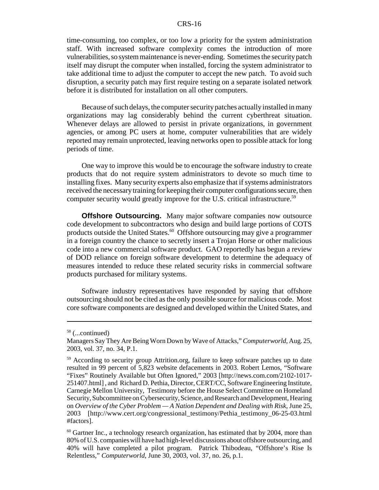time-consuming, too complex, or too low a priority for the system administration staff. With increased software complexity comes the introduction of more vulnerabilities, so system maintenance is never-ending. Sometimes the security patch itself may disrupt the computer when installed, forcing the system administrator to take additional time to adjust the computer to accept the new patch. To avoid such disruption, a security patch may first require testing on a separate isolated network before it is distributed for installation on all other computers.

Because of such delays, the computer security patches actually installed in many organizations may lag considerably behind the current cyberthreat situation. Whenever delays are allowed to persist in private organizations, in government agencies, or among PC users at home, computer vulnerabilities that are widely reported may remain unprotected, leaving networks open to possible attack for long periods of time.

One way to improve this would be to encourage the software industry to create products that do not require system administrators to devote so much time to installing fixes. Many security experts also emphasize that if systems administrators received the necessary training for keeping their computer configurations secure, then computer security would greatly improve for the U.S. critical infrastructure.<sup>59</sup>

**Offshore Outsourcing.** Many major software companies now outsource code development to subcontractors who design and build large portions of COTS products outside the United States.<sup>60</sup> Offshore outsourcing may give a programmer in a foreign country the chance to secretly insert a Trojan Horse or other malicious code into a new commercial software product. GAO reportedly has begun a review of DOD reliance on foreign software development to determine the adequacy of measures intended to reduce these related security risks in commercial software products purchased for military systems.

Software industry representatives have responded by saying that offshore outsourcing should not be cited as the only possible source for malicious code. Most core software components are designed and developed within the United States, and

<sup>58 (...</sup>continued)

Managers Say They Are Being Worn Down by Wave of Attacks," *Computerworld*, Aug. 25, 2003, vol. 37, no. 34, P.1.

<sup>&</sup>lt;sup>59</sup> According to security group Attrition.org, failure to keep software patches up to date resulted in 99 percent of 5,823 website defacements in 2003. Robert Lemos, "Software "Fixes" Routinely Available but Often Ignored," 2003 [http://news.com.com/2102-1017- 251407.html] , and Richard D. Pethia, Director, CERT/CC, Software Engineering Institute, Carnegie Mellon University, Testimony before the House Select Committee on Homeland Security, Subcommittee on Cybersecurity, Science, and Research and Development, Hearing on *Overview of the Cyber Problem — A Nation Dependent and Dealing with Risk*, June 25, 2003 [http://www.cert.org/congressional\_testimony/Pethia\_testimony\_06-25-03.html #factors].

 $^{60}$  Gartner Inc., a technology research organization, has estimated that by 2004, more than 80% of U.S. companies will have had high-level discussions about offshore outsourcing, and 40% will have completed a pilot program. Patrick Thibodeau, "Offshore's Rise Is Relentless," *Computerworld*, June 30, 2003, vol. 37, no. 26, p.1.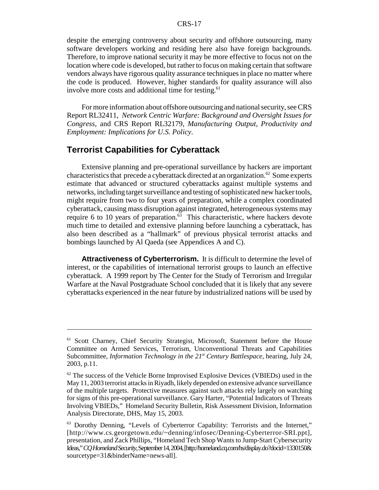despite the emerging controversy about security and offshore outsourcing, many software developers working and residing here also have foreign backgrounds. Therefore, to improve national security it may be more effective to focus not on the location where code is developed, but rather to focus on making certain that software vendors always have rigorous quality assurance techniques in place no matter where the code is produced. However, higher standards for quality assurance will also involve more costs and additional time for testing.<sup>61</sup>

For more information about offshore outsourcing and national security, see CRS Report RL32411, *Network Centric Warfare: Background and Oversight Issues for Congress*, and CRS Report RL32179, *Manufacturing Output, Productivity and Employment: Implications for U.S. Policy*.

### **Terrorist Capabilities for Cyberattack**

Extensive planning and pre-operational surveillance by hackers are important characteristics that precede a cyberattack directed at an organization.<sup>62</sup> Some experts estimate that advanced or structured cyberattacks against multiple systems and networks, including target surveillance and testing of sophisticated new hacker tools, might require from two to four years of preparation, while a complex coordinated cyberattack, causing mass disruption against integrated, heterogeneous systems may require 6 to 10 years of preparation. $\overline{63}$  This characteristic, where hackers devote much time to detailed and extensive planning before launching a cyberattack, has also been described as a "hallmark" of previous physical terrorist attacks and bombings launched by Al Qaeda (see Appendices A and C).

**Attractiveness of Cyberterrorism.** It is difficult to determine the level of interest, or the capabilities of international terrorist groups to launch an effective cyberattack. A 1999 report by The Center for the Study of Terrorism and Irregular Warfare at the Naval Postgraduate School concluded that it is likely that any severe cyberattacks experienced in the near future by industrialized nations will be used by

<sup>&</sup>lt;sup>61</sup> Scott Charney, Chief Security Strategist, Microsoft, Statement before the House Committee on Armed Services, Terrorism, Unconventional Threats and Capabilities Subcommittee, *Information Technology in the 21st Century Battlespace*, hearing, July 24, 2003, p.11.

 $62$  The success of the Vehicle Borne Improvised Explosive Devices (VBIEDs) used in the May 11, 2003 terrorist attacks in Riyadh, likely depended on extensive advance surveillance of the multiple targets. Protective measures against such attacks rely largely on watching for signs of this pre-operational surveillance. Gary Harter, "Potential Indicators of Threats Involving VBIEDs," Homeland Security Bulletin, Risk Assessment Division, Information Analysis Directorate, DHS, May 15, 2003.

<sup>&</sup>lt;sup>63</sup> Dorothy Denning, "Levels of Cyberterror Capability: Terrorists and the Internet," [http://www.cs.georgetown.edu/~denning/infosec/Denning-Cyberterror-SRI.ppt], presentation, and Zack Phillips, "Homeland Tech Shop Wants to Jump-Start Cybersecurity Ideas," *CQHomeland Security*, September 14, 2004, [http://homeland.cq.com/hs/display.do?docid=1330150& sourcetype=31&binderName=news-all].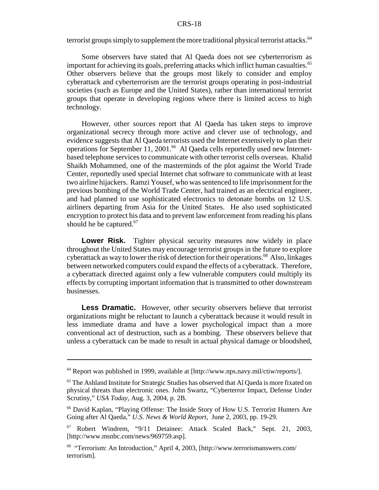terrorist groups simply to supplement the more traditional physical terrorist attacks.<sup>64</sup>

Some observers have stated that Al Qaeda does not see cyberterrorism as important for achieving its goals, preferring attacks which inflict human casualties.<sup>65</sup> Other observers believe that the groups most likely to consider and employ cyberattack and cyberterrorism are the terrorist groups operating in post-industrial societies (such as Europe and the United States), rather than international terrorist groups that operate in developing regions where there is limited access to high technology.

However, other sources report that Al Qaeda has taken steps to improve organizational secrecy through more active and clever use of technology, and evidence suggests that Al Qaeda terrorists used the Internet extensively to plan their operations for September 11, 2001.<sup>66</sup> Al Qaeda cells reportedly used new Internetbased telephone services to communicate with other terrorist cells overseas. Khalid Shaikh Mohammed, one of the masterminds of the plot against the World Trade Center, reportedly used special Internet chat software to communicate with at least two airline hijackers. Ramzi Yousef, who was sentenced to life imprisonment for the previous bombing of the World Trade Center, had trained as an electrical engineer, and had planned to use sophisticated electronics to detonate bombs on 12 U.S. airliners departing from Asia for the United States. He also used sophisticated encryption to protect his data and to prevent law enforcement from reading his plans should he be captured.<sup>67</sup>

Lower Risk. Tighter physical security measures now widely in place throughout the United States may encourage terrorist groups in the future to explore cyberattack as way to lower the risk of detection for their operations.<sup>68</sup> Also, linkages between networked computers could expand the effects of a cyberattack. Therefore, a cyberattack directed against only a few vulnerable computers could multiply its effects by corrupting important information that is transmitted to other downstream businesses.

**Less Dramatic.** However, other security observers believe that terrorist organizations might be reluctant to launch a cyberattack because it would result in less immediate drama and have a lower psychological impact than a more conventional act of destruction, such as a bombing. These observers believe that unless a cyberattack can be made to result in actual physical damage or bloodshed,

<sup>64</sup> Report was published in 1999, available at [http://www.nps.navy.mil/ctiw/reports/].

<sup>&</sup>lt;sup>65</sup> The Ashland Institute for Strategic Studies has observed that Al Qaeda is more fixated on physical threats than electronic ones. John Swartz, "Cyberterror Impact, Defense Under Scrutiny," *USA Today*, Aug. 3, 2004, p. 2B.

<sup>66</sup> David Kaplan, "Playing Offense: The Inside Story of How U.S. Terrorist Hunters Are Going after Al Qaeda," *U.S. News & World Report*, June 2, 2003, pp. 19-29.

<sup>67</sup> Robert Windrem, "9/11 Detainee: Attack Scaled Back," Sept. 21, 2003, [http://www.msnbc.com/news/969759.asp].

<sup>68 &</sup>quot;Terrorism: An Introduction," April 4, 2003, [http://www.terrorismanswers.com/ terrorism].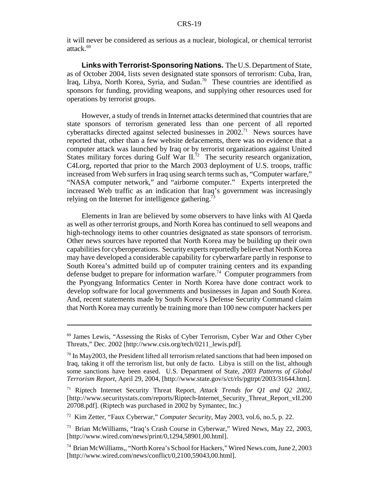it will never be considered as serious as a nuclear, biological, or chemical terrorist attack.<sup>69</sup>

**Links with Terrorist-Sponsoring Nations.** The U.S. Department of State, as of October 2004, lists seven designated state sponsors of terrorism: Cuba, Iran, Iraq, Libya, North Korea, Syria, and Sudan.<sup>70</sup> These countries are identified as sponsors for funding, providing weapons, and supplying other resources used for operations by terrorist groups.

However, a study of trends in Internet attacks determined that countries that are state sponsors of terrorism generated less than one percent of all reported cyberattacks directed against selected businesses in  $2002$ <sup>71</sup> News sources have reported that, other than a few website defacements, there was no evidence that a computer attack was launched by Iraq or by terrorist organizations against United States military forces during Gulf War  $II^{72}$  The security research organization, C4I.org, reported that prior to the March 2003 deployment of U.S. troops, traffic increased from Web surfers in Iraq using search terms such as, "Computer warfare," "NASA computer network," and "airborne computer." Experts interpreted the increased Web traffic as an indication that Iraq's government was increasingly relying on the Internet for intelligence gathering.<sup>73</sup>

Elements in Iran are believed by some observers to have links with Al Qaeda as well as other terrorist groups, and North Korea has continued to sell weapons and high-technology items to other countries designated as state sponsors of terrorism. Other news sources have reported that North Korea may be building up their own capabilities for cyberoperations. Security experts reportedly believe that North Korea may have developed a considerable capability for cyberwarfare partly in response to South Korea's admitted build up of computer training centers and its expanding defense budget to prepare for information warfare.<sup>74</sup> Computer programmers from the Pyongyang Informatics Center in North Korea have done contract work to develop software for local governments and businesses in Japan and South Korea. And, recent statements made by South Korea's Defense Security Command claim that North Korea may currently be training more than 100 new computer hackers per

72 Kim Zetter, "Faux Cyberwar," *Computer Security*, May 2003, vol.6, no.5, p. 22.

<sup>69</sup> James Lewis, "Assessing the Risks of Cyber Terrorism, Cyber War and Other Cyber Threats," Dec. 2002 [http://www.csis.org/tech/0211 lewis.pdf].

 $70$  In May2003, the President lifted all terrorism related sanctions that had been imposed on Iraq, taking it off the terrorism list, but only de facto. Libya is still on the list, although some sanctions have been eased. U.S. Department of State, *2003 Patterns of Global Terrorism Report*, April 29, 2004, [http://www.state.gov/s/ct/rls/pgtrpt/2003/31644.htm].

<sup>71</sup> Riptech Internet Security Threat Report, *Attack Trends for Q1 and Q2 2002*, [http://www.securitystats.com/reports/Riptech-Internet\_Security\_Threat\_Report\_vII.200 20708.pdf]. (Riptech was purchased in 2002 by Symantec, Inc.)

<sup>73</sup> Brian McWilliams, "Iraq's Crash Course in Cyberwar," Wired News, May 22, 2003, [http://www.wired.com/news/print/0,1294,58901,00.html].

<sup>74</sup> Brian McWilliams,, "North Korea's School for Hackers," Wired News.com, June 2, 2003 [http://www.wired.com/news/conflict/0,2100,59043,00.html].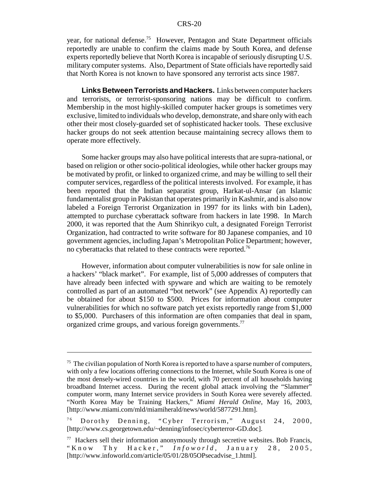year, for national defense.<sup>75</sup> However, Pentagon and State Department officials reportedly are unable to confirm the claims made by South Korea, and defense experts reportedly believe that North Korea is incapable of seriously disrupting U.S. military computer systems. Also, Department of State officials have reportedly said that North Korea is not known to have sponsored any terrorist acts since 1987.

**Links Between Terrorists and Hackers.** Links between computer hackers and terrorists, or terrorist-sponsoring nations may be difficult to confirm. Membership in the most highly-skilled computer hacker groups is sometimes very exclusive, limited to individuals who develop, demonstrate, and share only with each other their most closely-guarded set of sophisticated hacker tools. These exclusive hacker groups do not seek attention because maintaining secrecy allows them to operate more effectively.

Some hacker groups may also have political interests that are supra-national, or based on religion or other socio-political ideologies, while other hacker groups may be motivated by profit, or linked to organized crime, and may be willing to sell their computer services, regardless of the political interests involved. For example, it has been reported that the Indian separatist group, Harkat-ul-Ansar (an Islamic fundamentalist group in Pakistan that operates primarily in Kashmir, and is also now labeled a Foreign Terrorist Organization in 1997 for its links with bin Laden), attempted to purchase cyberattack software from hackers in late 1998. In March 2000, it was reported that the Aum Shinrikyo cult, a designated Foreign Terrorist Organization, had contracted to write software for 80 Japanese companies, and 10 government agencies, including Japan's Metropolitan Police Department; however, no cyberattacks that related to these contracts were reported.<sup>76</sup>

However, information about computer vulnerabilities is now for sale online in a hackers' "black market". For example, list of 5,000 addresses of computers that have already been infected with spyware and which are waiting to be remotely controlled as part of an automated "bot network" (see Appendix A) reportedly can be obtained for about \$150 to \$500. Prices for information about computer vulnerabilities for which no software patch yet exists reportedly range from \$1,000 to \$5,000. Purchasers of this information are often companies that deal in spam, organized crime groups, and various foreign governments.77

 $<sup>75</sup>$  The civilian population of North Korea is reported to have a sparse number of computers,</sup> with only a few locations offering connections to the Internet, while South Korea is one of the most densely-wired countries in the world, with 70 percent of all households having broadband Internet access. During the recent global attack involving the "Slammer" computer worm, many Internet service providers in South Korea were severely affected. "North Korea May be Training Hackers," *Miami Herald Online*, May 16, 2003, [http://www.miami.com/mld/miamiherald/news/world/5877291.htm].

<sup>&</sup>lt;sup>76</sup> Dorothy Denning, "Cyber Terrorism," August 24, 2000, [http://www.cs.georgetown.edu/~denning/infosec/cyberterror-GD.doc].

<sup>&</sup>lt;sup>77</sup> Hackers sell their information anonymously through secretive websites. Bob Francis,<br>"K n o w T h v H a c k e r ."  $ln f \circ w \circ r l d$ , J a n u a r y 28, 2005, Thy Hacker," *Infoworld*, January 28, 2005, [http://www.infoworld.com/article/05/01/28/05OPsecadvise\_1.html].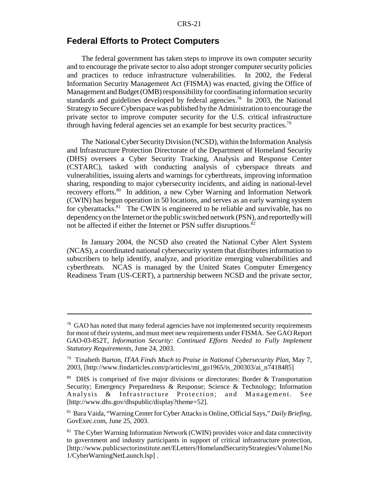#### **Federal Efforts to Protect Computers**

The federal government has taken steps to improve its own computer security and to encourage the private sector to also adopt stronger computer security policies and practices to reduce infrastructure vulnerabilities. In 2002, the Federal Information Security Management Act (FISMA) was enacted, giving the Office of Management and Budget (OMB) responsibility for coordinating information security standards and guidelines developed by federal agencies.<sup>78</sup> In 2003, the National Strategy to Secure Cyberspace was published by the Administration to encourage the private sector to improve computer security for the U.S. critical infrastructure through having federal agencies set an example for best security practices.<sup>79</sup>

The National Cyber Security Division (NCSD), within the Information Analysis and Infrastructure Protection Directorate of the Department of Homeland Security (DHS) oversees a Cyber Security Tracking, Analysis and Response Center (CSTARC), tasked with conducting analysis of cyberspace threats and vulnerabilities, issuing alerts and warnings for cyberthreats, improving information sharing, responding to major cybersecurity incidents, and aiding in national-level recovery efforts.80 In addition, a new Cyber Warning and Information Network (CWIN) has begun operation in 50 locations, and serves as an early warning system for cyberattacks.<sup>81</sup> The CWIN is engineered to be reliable and survivable, has no dependency on the Internet or the public switched network (PSN), and reportedly will not be affected if either the Internet or PSN suffer disruptions.<sup>82</sup>

In January 2004, the NCSD also created the National Cyber Alert System (NCAS), a coordinated national cybersecurity system that distributes information to subscribers to help identify, analyze, and prioritize emerging vulnerabilities and cyberthreats. NCAS is managed by the United States Computer Emergency Readiness Team (US-CERT), a partnership between NCSD and the private sector,

 $78$  GAO has noted that many federal agencies have not implemented security requirements for most of their systems, and must meet new requirements under FISMA. See GAO Report GAO-03-852T, *Information Security: Continued Efforts Needed to Fully Implement Statutory Requirements*, June 24, 2003.

<sup>79</sup> Tinabeth Burton, *ITAA Finds Much to Praise in National Cybersecurity Plan,* May 7, 2003, [http://www.findarticles.com/p/articles/mi\_go1965/is\_200303/ai\_n7418485]

<sup>&</sup>lt;sup>80</sup> DHS is comprised of five major divisions or directorates: Border & Transportation Security; Emergency Preparedness & Response; Science & Technology; Information Analysis & Infrastructure Protection; and Management. See [http://www.dhs.gov/dhspublic/display?theme=52].

<sup>81</sup> Bara Vaida, "Warning Center for Cyber Attacks is Online, Official Says," *Daily Briefing*, GovExec.com, June 25, 2003.

 $82$  The Cyber Warning Information Network (CWIN) provides voice and data connectivity to government and industry participants in support of critical infrastructure protection, [http://www.publicsectorinstitute.net/ELetters/HomelandSecurityStrategies/Volume1No 1/CyberWarningNetLaunch.lsp] .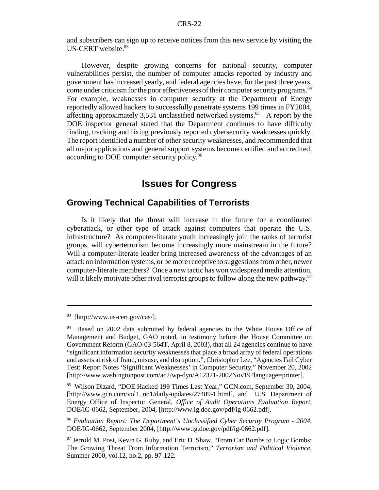and subscribers can sign up to receive notices from this new service by visiting the US-CERT website.<sup>83</sup>

However, despite growing concerns for national security, computer vulnerabilities persist, the number of computer attacks reported by industry and government has increased yearly, and federal agencies have, for the past three years, come under criticism for the poor effectiveness of their computer security programs.<sup>84</sup> For example, weaknesses in computer security at the Department of Energy reportedly allowed hackers to successfully penetrate systems 199 times in FY2004, affecting approximately 3,531 unclassified networked systems.<sup>85</sup> A report by the DOE inspector general stated that the Department continues to have difficulty finding, tracking and fixing previously reported cybersecurity weaknesses quickly. The report identified a number of other security weaknesses, and recommended that all major applications and general support systems become certified and accredited, according to DOE computer security policy.<sup>86</sup>

## **Issues for Congress**

## **Growing Technical Capabilities of Terrorists**

Is it likely that the threat will increase in the future for a coordinated cyberattack, or other type of attack against computers that operate the U.S. infrastructure? As computer-literate youth increasingly join the ranks of terrorist groups, will cyberterrorism become increasingly more mainstream in the future? Will a computer-literate leader bring increased awareness of the advantages of an attack on information systems, or be more receptive to suggestions from other, newer computer-literate members? Once a new tactic has won widespread media attention, will it likely motivate other rival terrorist groups to follow along the new pathway. $87$ 

<sup>83 [</sup>http://www.us-cert.gov/cas/].

<sup>&</sup>lt;sup>84</sup> Based on 2002 data submitted by federal agencies to the White House Office of Management and Budget, GAO noted, in testimony before the House Committee on Government Reform (GAO-03-564T, April 8, 2003), that all 24 agencies continue to have "significant information security weaknesses that place a broad array of federal operations and assets at risk of fraud, misuse, and disruption.", Christopher Lee, "Agencies Fail Cyber Test: Report Notes 'Significant Weaknesses' in Computer Security," November 20, 2002 [http://www.washingtonpost.com/ac2/wp-dyn/A12321-2002Nov19?language=printer].

<sup>85</sup> Wilson Dizard, "DOE Hacked 199 Times Last Year," GCN.com, September 30, 2004, [http://www.gcn.com/vol1\_no1/daily-updates/27489-1.html], and U.S. Department of Energy Office of Inspector General, *Office of Audit Operations Evaluation Report*, DOE/IG-0662, September, 2004, [http://www.ig.doe.gov/pdf/ig-0662.pdf].

<sup>86</sup> *Evaluation Report: The Department's Unclassified Cyber Security Program - 2004*, DOE/IG-0662, September 2004, [http://www.ig.doe.gov/pdf/ig-0662.pdf].

<sup>&</sup>lt;sup>87</sup> Jerrold M. Post, Kevin G. Ruby, and Eric D. Shaw, "From Car Bombs to Logic Bombs: The Growing Threat From Information Terrorism," *Terrorism and Political Violence*, Summer 2000, vol.12, no.2, pp. 97-122.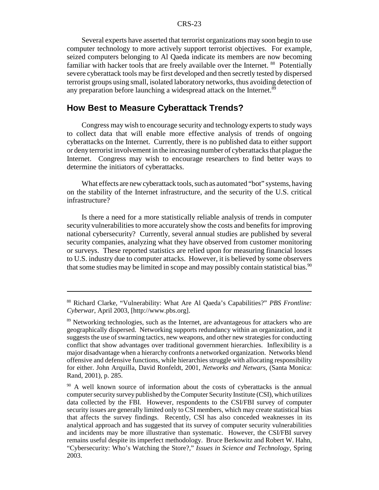Several experts have asserted that terrorist organizations may soon begin to use computer technology to more actively support terrorist objectives. For example, seized computers belonging to Al Qaeda indicate its members are now becoming familiar with hacker tools that are freely available over the Internet. <sup>88</sup> Potentially severe cyberattack tools may be first developed and then secretly tested by dispersed terrorist groups using small, isolated laboratory networks, thus avoiding detection of any preparation before launching a widespread attack on the Internet.<sup>89</sup>

#### **How Best to Measure Cyberattack Trends?**

Congress may wish to encourage security and technology experts to study ways to collect data that will enable more effective analysis of trends of ongoing cyberattacks on the Internet. Currently, there is no published data to either support or deny terrorist involvement in the increasing number of cyberattacks that plague the Internet. Congress may wish to encourage researchers to find better ways to determine the initiators of cyberattacks.

What effects are new cyberattack tools, such as automated "bot" systems, having on the stability of the Internet infrastructure, and the security of the U.S. critical infrastructure?

Is there a need for a more statistically reliable analysis of trends in computer security vulnerabilities to more accurately show the costs and benefits for improving national cybersecurity? Currently, several annual studies are published by several security companies, analyzing what they have observed from customer monitoring or surveys. These reported statistics are relied upon for measuring financial losses to U.S. industry due to computer attacks. However, it is believed by some observers that some studies may be limited in scope and may possibly contain statistical bias.<sup>90</sup>

<sup>88</sup> Richard Clarke, "Vulnerability: What Are Al Qaeda's Capabilities?" *PBS Frontline: Cyberwar*, April 2003, [http://www.pbs.org].

<sup>&</sup>lt;sup>89</sup> Networking technologies, such as the Internet, are advantageous for attackers who are geographically dispersed. Networking supports redundancy within an organization, and it suggests the use of swarming tactics, new weapons, and other new strategies for conducting conflict that show advantages over traditional government hierarchies. Inflexibility is a major disadvantage when a hierarchy confronts a networked organization. Networks blend offensive and defensive functions, while hierarchies struggle with allocating responsibility for either. John Arquilla, David Ronfeldt, 2001, *Networks and Netwars*, (Santa Monica: Rand, 2001), p. 285.

<sup>&</sup>lt;sup>90</sup> A well known source of information about the costs of cyberattacks is the annual computer security survey published by the Computer Security Institute (CSI), which utilizes data collected by the FBI. However, respondents to the CSI/FBI survey of computer security issues are generally limited only to CSI members, which may create statistical bias that affects the survey findings. Recently, CSI has also conceded weaknesses in its analytical approach and has suggested that its survey of computer security vulnerabilities and incidents may be more illustrative than systematic. However, the CSI/FBI survey remains useful despite its imperfect methodology. Bruce Berkowitz and Robert W. Hahn, "Cybersecurity: Who's Watching the Store?," *Issues in Science and Technology*, Spring 2003.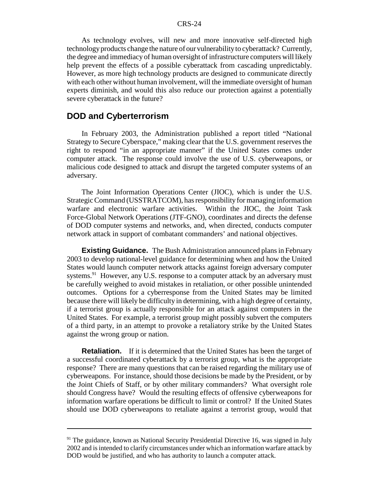As technology evolves, will new and more innovative self-directed high technology products change the nature of our vulnerability to cyberattack? Currently, the degree and immediacy of human oversight of infrastructure computers will likely help prevent the effects of a possible cyberattack from cascading unpredictably. However, as more high technology products are designed to communicate directly with each other without human involvement, will the immediate oversight of human experts diminish, and would this also reduce our protection against a potentially severe cyberattack in the future?

#### **DOD and Cyberterrorism**

In February 2003, the Administration published a report titled "National Strategy to Secure Cyberspace," making clear that the U.S. government reserves the right to respond "in an appropriate manner" if the United States comes under computer attack. The response could involve the use of U.S. cyberweapons, or malicious code designed to attack and disrupt the targeted computer systems of an adversary.

The Joint Information Operations Center (JIOC), which is under the U.S. Strategic Command (USSTRATCOM), has responsibility for managing information warfare and electronic warfare activities. Within the JIOC, the Joint Task Force-Global Network Operations (JTF-GNO), coordinates and directs the defense of DOD computer systems and networks, and, when directed, conducts computer network attack in support of combatant commanders' and national objectives.

**Existing Guidance.** The Bush Administration announced plans in February 2003 to develop national-level guidance for determining when and how the United States would launch computer network attacks against foreign adversary computer systems.<sup>91</sup> However, any U.S. response to a computer attack by an adversary must be carefully weighed to avoid mistakes in retaliation, or other possible unintended outcomes. Options for a cyberresponse from the United States may be limited because there will likely be difficulty in determining, with a high degree of certainty, if a terrorist group is actually responsible for an attack against computers in the United States. For example, a terrorist group might possibly subvert the computers of a third party, in an attempt to provoke a retaliatory strike by the United States against the wrong group or nation.

**Retaliation.** If it is determined that the United States has been the target of a successful coordinated cyberattack by a terrorist group, what is the appropriate response? There are many questions that can be raised regarding the military use of cyberweapons. For instance, should those decisions be made by the President, or by the Joint Chiefs of Staff, or by other military commanders? What oversight role should Congress have? Would the resulting effects of offensive cyberweapons for information warfare operations be difficult to limit or control? If the United States should use DOD cyberweapons to retaliate against a terrorist group, would that

 $91$  The guidance, known as National Security Presidential Directive 16, was signed in July 2002 and is intended to clarify circumstances under which an information warfare attack by DOD would be justified, and who has authority to launch a computer attack.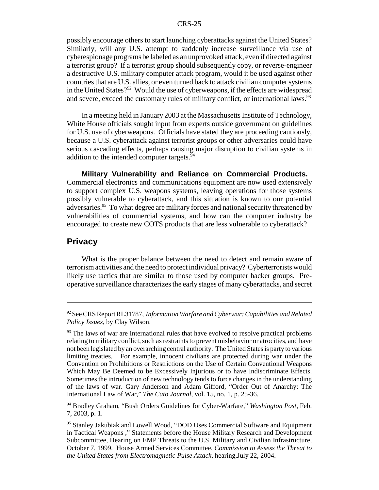possibly encourage others to start launching cyberattacks against the United States? Similarly, will any U.S. attempt to suddenly increase surveillance via use of cyberespionage programs be labeled as an unprovoked attack, even if directed against a terrorist group? If a terrorist group should subsequently copy, or reverse-engineer a destructive U.S. military computer attack program, would it be used against other countries that are U.S. allies, or even turned back to attack civilian computer systems in the United States?<sup>92</sup> Would the use of cyberweapons, if the effects are widespread and severe, exceed the customary rules of military conflict, or international laws.<sup>93</sup>

In a meeting held in January 2003 at the Massachusetts Institute of Technology, White House officials sought input from experts outside government on guidelines for U.S. use of cyberweapons. Officials have stated they are proceeding cautiously, because a U.S. cyberattack against terrorist groups or other adversaries could have serious cascading effects, perhaps causing major disruption to civilian systems in addition to the intended computer targets. $34$ 

**Military Vulnerability and Reliance on Commercial Products.** Commercial electronics and communications equipment are now used extensively to support complex U.S. weapons systems, leaving operations for those systems possibly vulnerable to cyberattack, and this situation is known to our potential adversaries.95 To what degree are military forces and national security threatened by vulnerabilities of commercial systems, and how can the computer industry be encouraged to create new COTS products that are less vulnerable to cyberattack?

#### **Privacy**

What is the proper balance between the need to detect and remain aware of terrorism activities and the need to protect individual privacy? Cyberterrorists would likely use tactics that are similar to those used by computer hacker groups. Preoperative surveillance characterizes the early stages of many cyberattacks, and secret

<sup>92</sup> See CRS Report RL31787, *Information Warfare and Cyberwar: Capabilities and Related Policy Issues*, by Clay Wilson.

<sup>&</sup>lt;sup>93</sup> The laws of war are international rules that have evolved to resolve practical problems relating to military conflict, such as restraints to prevent misbehavior or atrocities, and have not been legislated by an overarching central authority. The United States is party to various limiting treaties. For example, innocent civilians are protected during war under the Convention on Prohibitions or Restrictions on the Use of Certain Conventional Weapons Which May Be Deemed to be Excessively Injurious or to have Indiscriminate Effects. Sometimes the introduction of new technology tends to force changes in the understanding of the laws of war. Gary Anderson and Adam Gifford, "Order Out of Anarchy: The International Law of War," *The Cato Journal*, vol. 15, no. 1, p. 25-36.

<sup>94</sup> Bradley Graham, "Bush Orders Guidelines for Cyber-Warfare," *Washington Post*, Feb. 7, 2003, p. 1.

<sup>&</sup>lt;sup>95</sup> Stanley Jakubiak and Lowell Wood, "DOD Uses Commercial Software and Equipment in Tactical Weapons ," Statements before the House Military Research and Development Subcommittee, Hearing on EMP Threats to the U.S. Military and Civilian Infrastructure, October 7, 1999. House Armed Services Committee, *Commission to Assess the Threat to the United States from Electromagnetic Pulse Attack*, hearing,July 22, 2004.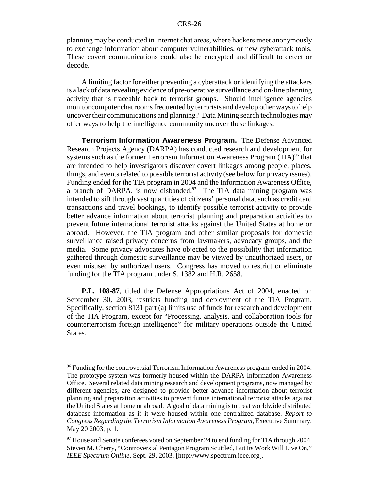planning may be conducted in Internet chat areas, where hackers meet anonymously to exchange information about computer vulnerabilities, or new cyberattack tools. These covert communications could also be encrypted and difficult to detect or decode.

A limiting factor for either preventing a cyberattack or identifying the attackers is a lack of data revealing evidence of pre-operative surveillance and on-line planning activity that is traceable back to terrorist groups. Should intelligence agencies monitor computer chat rooms frequented by terrorists and develop other ways to help uncover their communications and planning? Data Mining search technologies may offer ways to help the intelligence community uncover these linkages.

**Terrorism Information Awareness Program.** The Defense Advanced Research Projects Agency (DARPA) has conducted research and development for systems such as the former Terrorism Information Awareness Program (TIA)<sup>96</sup> that are intended to help investigators discover covert linkages among people, places, things, and events related to possible terrorist activity (see below for privacy issues). Funding ended for the TIA program in 2004 and the Information Awareness Office, a branch of DARPA, is now disbanded.<sup>97</sup> The TIA data mining program was intended to sift through vast quantities of citizens' personal data, such as credit card transactions and travel bookings, to identify possible terrorist activity to provide better advance information about terrorist planning and preparation activities to prevent future international terrorist attacks against the United States at home or abroad. However, the TIA program and other similar proposals for domestic surveillance raised privacy concerns from lawmakers, advocacy groups, and the media. Some privacy advocates have objected to the possibility that information gathered through domestic surveillance may be viewed by unauthorized users, or even misused by authorized users. Congress has moved to restrict or eliminate funding for the TIA program under S. 1382 and H.R. 2658.

**P.L. 108-87**, titled the Defense Appropriations Act of 2004, enacted on September 30, 2003, restricts funding and deployment of the TIA Program. Specifically, section 8131 part (a) limits use of funds for research and development of the TIA Program, except for "Processing, analysis, and collaboration tools for counterterrorism foreign intelligence" for military operations outside the United States.

<sup>&</sup>lt;sup>96</sup> Funding for the controversial Terrorism Information Awareness program ended in 2004. The prototype system was formerly housed within the DARPA Information Awareness Office. Several related data mining research and development programs, now managed by different agencies, are designed to provide better advance information about terrorist planning and preparation activities to prevent future international terrorist attacks against the United States at home or abroad. A goal of data mining is to treat worldwide distributed database information as if it were housed within one centralized database. *Report to Congress Regarding the Terrorism Information Awareness Program*, Executive Summary, May 20 2003, p. 1.

 $97$  House and Senate conferees voted on September 24 to end funding for TIA through 2004. Steven M. Cherry, "Controversial Pentagon Program Scuttled, But Its Work Will Live On," *IEEE Spectrum Online*, Sept. 29, 2003, [http://www.spectrum.ieee.org].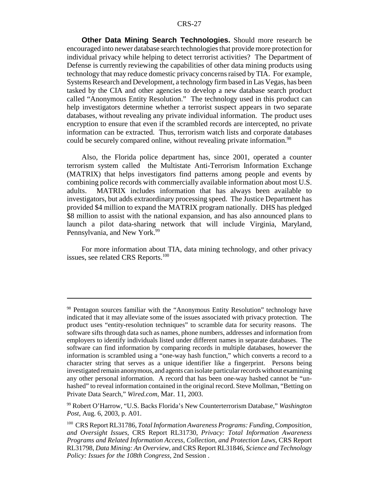**Other Data Mining Search Technologies.** Should more research be encouraged into newer database search technologies that provide more protection for individual privacy while helping to detect terrorist activities? The Department of Defense is currently reviewing the capabilities of other data mining products using technology that may reduce domestic privacy concerns raised by TIA. For example, Systems Research and Development, a technology firm based in Las Vegas, has been tasked by the CIA and other agencies to develop a new database search product called "Anonymous Entity Resolution." The technology used in this product can help investigators determine whether a terrorist suspect appears in two separate databases, without revealing any private individual information. The product uses encryption to ensure that even if the scrambled records are intercepted, no private information can be extracted. Thus, terrorism watch lists and corporate databases could be securely compared online, without revealing private information.<sup>98</sup>

Also, the Florida police department has, since 2001, operated a counter terrorism system called the Multistate Anti-Terrorism Information Exchange (MATRIX) that helps investigators find patterns among people and events by combining police records with commercially available information about most U.S. adults. MATRIX includes information that has always been available to investigators, but adds extraordinary processing speed. The Justice Department has provided \$4 million to expand the MATRIX program nationally. DHS has pledged \$8 million to assist with the national expansion, and has also announced plans to launch a pilot data-sharing network that will include Virginia, Maryland, Pennsylvania, and New York.<sup>99</sup>

For more information about TIA, data mining technology, and other privacy issues, see related CRS Reports.<sup>100</sup>

<sup>&</sup>lt;sup>98</sup> Pentagon sources familiar with the "Anonymous Entity Resolution" technology have indicated that it may alleviate some of the issues associated with privacy protection. The product uses "entity-resolution techniques" to scramble data for security reasons. The software sifts through data such as names, phone numbers, addresses and information from employers to identify individuals listed under different names in separate databases. The software can find information by comparing records in multiple databases, however the information is scrambled using a "one-way hash function," which converts a record to a character string that serves as a unique identifier like a fingerprint. Persons being investigated remain anonymous, and agents can isolate particular records without examining any other personal information. A record that has been one-way hashed cannot be "unhashed" to reveal information contained in the original record. Steve Mollman, "Betting on Private Data Search," *Wired.com*, Mar. 11, 2003.

<sup>99</sup> Robert O'Harrow, "U.S. Backs Florida's New Counterterrorism Database," *Washington Post*, Aug. 6, 2003, p. A01.

<sup>100</sup> CRS Report RL31786, *Total Information Awareness Programs: Funding, Composition, and Oversight Issues*, CRS Report RL31730, *Privacy: Total Information Awareness Programs and Related Information Access, Collection, and Protection Laws*, CRS Report RL31798, *Data Mining: An Overview*, and CRS Report RL31846, *Science and Technology Policy: Issues for the 108th Congress*, 2nd Session .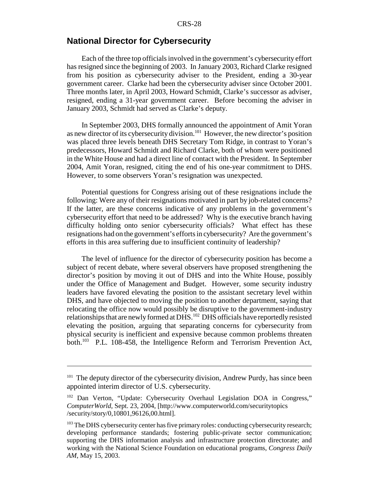## **National Director for Cybersecurity**

Each of the three top officials involved in the government's cybersecurity effort has resigned since the beginning of 2003. In January 2003, Richard Clarke resigned from his position as cybersecurity adviser to the President, ending a 30-year government career. Clarke had been the cybersecurity adviser since October 2001. Three months later, in April 2003, Howard Schmidt, Clarke's successor as adviser, resigned, ending a 31-year government career. Before becoming the adviser in January 2003, Schmidt had served as Clarke's deputy.

In September 2003, DHS formally announced the appointment of Amit Yoran as new director of its cybersecurity division.<sup>101</sup> However, the new director's position was placed three levels beneath DHS Secretary Tom Ridge, in contrast to Yoran's predecessors, Howard Schmidt and Richard Clarke, both of whom were positioned in the White House and had a direct line of contact with the President. In September 2004, Amit Yoran, resigned, citing the end of his one-year commitment to DHS. However, to some observers Yoran's resignation was unexpected.

Potential questions for Congress arising out of these resignations include the following: Were any of their resignations motivated in part by job-related concerns? If the latter, are these concerns indicative of any problems in the government's cybersecurity effort that need to be addressed? Why is the executive branch having difficulty holding onto senior cybersecurity officials? What effect has these resignations had on the government's efforts in cybersecurity? Are the government's efforts in this area suffering due to insufficient continuity of leadership?

The level of influence for the director of cybersecurity position has become a subject of recent debate, where several observers have proposed strengthening the director's position by moving it out of DHS and into the White House, possibly under the Office of Management and Budget. However, some security industry leaders have favored elevating the position to the assistant secretary level within DHS, and have objected to moving the position to another department, saying that relocating the office now would possibly be disruptive to the government-industry relationships that are newly formed at DHS.102 DHS officials have reportedly resisted elevating the position, arguing that separating concerns for cybersecurity from physical security is inefficient and expensive because common problems threaten both.<sup>103</sup> P.L. 108-458, the Intelligence Reform and Terrorism Prevention Act,

<sup>&</sup>lt;sup>101</sup> The deputy director of the cybersecurity division, Andrew Purdy, has since been appointed interim director of U.S. cybersecurity.

<sup>102</sup> Dan Verton, "Update: Cybersecurity Overhaul Legislation DOA in Congress," *ComputerWorld*, Sept. 23, 2004, [http://www.computerworld.com/securitytopics /security/story/0,10801,96126,00.html].

<sup>&</sup>lt;sup>103</sup> The DHS cybersecurity center has five primary roles: conducting cybersecurity research; developing performance standards; fostering public-private sector communication; supporting the DHS information analysis and infrastructure protection directorate; and working with the National Science Foundation on educational programs, *Congress Daily AM*, May 15, 2003.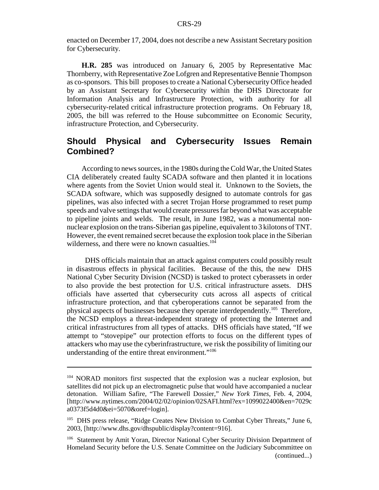enacted on December 17, 2004, does not describe a new Assistant Secretary position for Cybersecurity.

**H.R. 285** was introduced on January 6, 2005 by Representative Mac Thornberry, with Representative Zoe Lofgren and Representative Bennie Thompson as co-sponsors. This bill proposes to create a National Cybersecurity Office headed by an Assistant Secretary for Cybersecurity within the DHS Directorate for Information Analysis and Infrastructure Protection, with authority for all cybersecurity-related critical infrastructure protection programs. On February 18, 2005, the bill was referred to the House subcommittee on Economic Security, infrastructure Protection, and Cybersecurity.

## **Should Physical and Cybersecurity Issues Remain Combined?**

According to news sources, in the 1980s during the Cold War, the United States CIA deliberately created faulty SCADA software and then planted it in locations where agents from the Soviet Union would steal it. Unknown to the Soviets, the SCADA software, which was supposedly designed to automate controls for gas pipelines, was also infected with a secret Trojan Horse programmed to reset pump speeds and valve settings that would create pressures far beyond what was acceptable to pipeline joints and welds. The result, in June 1982, was a monumental nonnuclear explosion on the trans-Siberian gas pipeline, equivalent to 3 kilotons of TNT. However, the event remained secret because the explosion took place in the Siberian wilderness, and there were no known casualties.<sup>104</sup>

 DHS officials maintain that an attack against computers could possibly result in disastrous effects in physical facilities. Because of the this, the new DHS National Cyber Security Division (NCSD) is tasked to protect cyberassets in order to also provide the best protection for U.S. critical infrastructure assets. DHS officials have asserted that cybersecurity cuts across all aspects of critical infrastructure protection, and that cyberoperations cannot be separated from the physical aspects of businesses because they operate interdependently.<sup>105</sup> Therefore, the NCSD employs a threat-independent strategy of protecting the Internet and critical infrastructures from all types of attacks. DHS officials have stated, "If we attempt to "stovepipe" our protection efforts to focus on the different types of attackers who may use the cyberinfrastructure, we risk the possibility of limiting our understanding of the entire threat environment."<sup>106</sup>

<sup>&</sup>lt;sup>104</sup> NORAD monitors first suspected that the explosion was a nuclear explosion, but satellites did not pick up an electromagnetic pulse that would have accompanied a nuclear detonation. William Safire, "The Farewell Dossier," *New York Times*, Feb. 4, 2004, [http://www.nytimes.com/2004/02/02/opinion/02SAFI.html?ex=1099022400&en=7029c a0373f5d4d0&ei=5070&oref=login].

<sup>&</sup>lt;sup>105</sup> DHS press release, "Ridge Creates New Division to Combat Cyber Threats," June 6, 2003, [http://www.dhs.gov/dhspublic/display?content=916].

<sup>&</sup>lt;sup>106</sup> Statement by Amit Yoran, Director National Cyber Security Division Department of Homeland Security before the U.S. Senate Committee on the Judiciary Subcommittee on (continued...)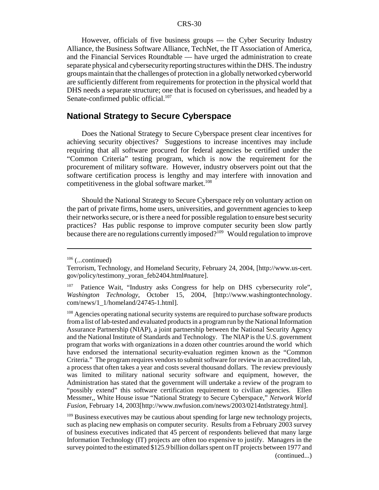However, officials of five business groups — the Cyber Security Industry Alliance, the Business Software Alliance, TechNet, the IT Association of America, and the Financial Services Roundtable — have urged the administration to create separate physical and cybersecurity reporting structures within the DHS. The industry groups maintain that the challenges of protection in a globally networked cyberworld are sufficiently different from requirements for protection in the physical world that DHS needs a separate structure; one that is focused on cyberissues, and headed by a Senate-confirmed public official.<sup>107</sup>

## **National Strategy to Secure Cyberspace**

Does the National Strategy to Secure Cyberspace present clear incentives for achieving security objectives? Suggestions to increase incentives may include requiring that all software procured for federal agencies be certified under the "Common Criteria" testing program, which is now the requirement for the procurement of military software. However, industry observers point out that the software certification process is lengthy and may interfere with innovation and competitiveness in the global software market. $108$ 

Should the National Strategy to Secure Cyberspace rely on voluntary action on the part of private firms, home users, universities, and government agencies to keep their networks secure, or is there a need for possible regulation to ensure best security practices? Has public response to improve computer security been slow partly because there are no regulations currently imposed?<sup>109</sup> Would regulation to improve

 $106$  (...continued)

Terrorism, Technology, and Homeland Security, February 24, 2004, [http://www.us-cert. gov/policy/testimony\_yoran\_feb2404.html#nature].

<sup>&</sup>lt;sup>107</sup> Patience Wait, "Industry asks Congress for help on DHS cybersecurity role", *Washington Technology*, October 15, 2004, [http://www.washingtontechnology. com/news/1\_1/homeland/24745-1.html].

<sup>&</sup>lt;sup>108</sup> Agencies operating national security systems are required to purchase software products from a list of lab-tested and evaluated products in a program run by the National Information Assurance Partnership (NIAP), a joint partnership between the National Security Agency and the National Institute of Standards and Technology. The NIAP is the U.S. government program that works with organizations in a dozen other countries around the world which have endorsed the international security-evaluation regimen known as the "Common Criteria." The program requires vendors to submit software for review in an accredited lab, a process that often takes a year and costs several thousand dollars. The review previously was limited to military national security software and equipment, however, the Administration has stated that the government will undertake a review of the program to "possibly extend" this software certification requirement to civilian agencies. Ellen Messmer,, White House issue "National Strategy to Secure Cyberspace," *Network World Fusion*, February 14, 2003[http://www.nwfusion.com/news/2003/0214ntlstrategy.html].

<sup>&</sup>lt;sup>109</sup> Business executives may be cautious about spending for large new technology projects, such as placing new emphasis on computer security. Results from a February 2003 survey of business executives indicated that 45 percent of respondents believed that many large Information Technology (IT) projects are often too expensive to justify. Managers in the survey pointed to the estimated \$125.9 billion dollars spent on IT projects between 1977 and (continued...)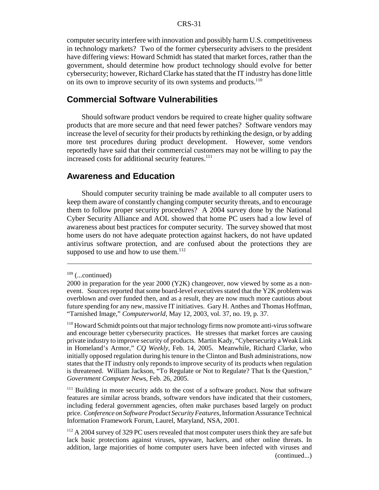computer security interfere with innovation and possibly harm U.S. competitiveness in technology markets? Two of the former cybersecurity advisers to the president have differing views: Howard Schmidt has stated that market forces, rather than the government, should determine how product technology should evolve for better cybersecurity; however, Richard Clarke has stated that the IT industry has done little on its own to improve security of its own systems and products.<sup>110</sup>

## **Commercial Software Vulnerabilities**

Should software product vendors be required to create higher quality software products that are more secure and that need fewer patches? Software vendors may increase the level of security for their products by rethinking the design, or by adding more test procedures during product development. However, some vendors reportedly have said that their commercial customers may not be willing to pay the increased costs for additional security features.<sup>111</sup>

#### **Awareness and Education**

Should computer security training be made available to all computer users to keep them aware of constantly changing computer security threats, and to encourage them to follow proper security procedures? A 2004 survey done by the National Cyber Security Alliance and AOL showed that home PC users had a low level of awareness about best practices for computer security. The survey showed that most home users do not have adequate protection against hackers, do not have updated antivirus software protection, and are confused about the protections they are supposed to use and how to use them. $112$ 

 $109$  (...continued)

<sup>2000</sup> in preparation for the year 2000 (Y2K) changeover, now viewed by some as a nonevent. Sources reported that some board-level executives stated that the Y2K problem was overblown and over funded then, and as a result, they are now much more cautious about future spending for any new, massive IT initiatives. Gary H. Anthes and Thomas Hoffman, "Tarnished Image," *Computerworld*, May 12, 2003, vol. 37, no. 19, p. 37.

<sup>&</sup>lt;sup>110</sup> Howard Schmidt points out that major technology firms now promote anti-virus software and encourage better cybersecurity practices. He stresses that market forces are causing private industry to improve security of products. Martin Kady, "Cybersecurity a Weak Link in Homeland's Armor," *CQ Weekly*, Feb. 14, 2005. Meanwhile, Richard Clarke, who initially opposed regulation during his tenure in the Clinton and Bush administrations, now states that the IT industry only reponds to improve security of its products when regulation is threatened. William Jackson*,* "To Regulate or Not to Regulate? That Is the Question," *Government Computer New*s, Feb. 26, 2005.

<sup>&</sup>lt;sup>111</sup> Building in more security adds to the cost of a software product. Now that software features are similar across brands, software vendors have indicated that their customers, including federal government agencies, often make purchases based largely on product price. *Conference on Software Product Security Features*, Information Assurance Technical Information Framework Forum, Laurel, Maryland, NSA, 2001.

<sup>&</sup>lt;sup>112</sup> A 2004 survey of 329 PC users revealed that most computer users think they are safe but lack basic protections against viruses, spyware, hackers, and other online threats. In addition, large majorities of home computer users have been infected with viruses and (continued...)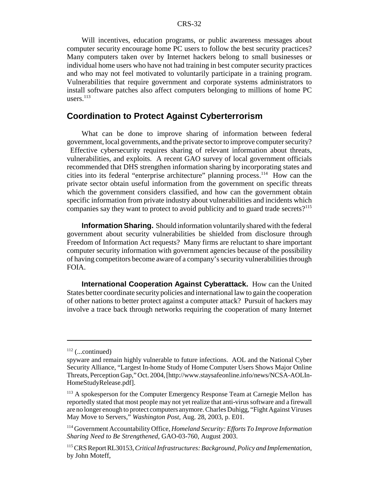Will incentives, education programs, or public awareness messages about computer security encourage home PC users to follow the best security practices? Many computers taken over by Internet hackers belong to small businesses or individual home users who have not had training in best computer security practices and who may not feel motivated to voluntarily participate in a training program. Vulnerabilities that require government and corporate systems administrators to install software patches also affect computers belonging to millions of home PC users. $^{113}$ 

## **Coordination to Protect Against Cyberterrorism**

What can be done to improve sharing of information between federal government, local governments, and the private sector to improve computer security? Effective cybersecurity requires sharing of relevant information about threats, vulnerabilities, and exploits. A recent GAO survey of local government officials recommended that DHS strengthen information sharing by incorporating states and cities into its federal "enterprise architecture" planning process.114 How can the private sector obtain useful information from the government on specific threats which the government considers classified, and how can the government obtain specific information from private industry about vulnerabilities and incidents which companies say they want to protect to avoid publicity and to guard trade secrets? $115$ 

**Information Sharing.** Should information voluntarily shared with the federal government about security vulnerabilities be shielded from disclosure through Freedom of Information Act requests? Many firms are reluctant to share important computer security information with government agencies because of the possibility of having competitors become aware of a company's security vulnerabilities through FOIA.

**International Cooperation Against Cyberattack.** How can the United States better coordinate security policies and international law to gain the cooperation of other nations to better protect against a computer attack? Pursuit of hackers may involve a trace back through networks requiring the cooperation of many Internet

 $112$  (...continued)

spyware and remain highly vulnerable to future infections. AOL and the National Cyber Security Alliance, "Largest In-home Study of Home Computer Users Shows Major Online Threats, Perception Gap," Oct. 2004, [http://www.staysafeonline.info/news/NCSA-AOLIn-HomeStudyRelease.pdf].

<sup>&</sup>lt;sup>113</sup> A spokesperson for the Computer Emergency Response Team at Carnegie Mellon has reportedly stated that most people may not yet realize that anti-virus software and a firewall are no longer enough to protect computers anymore. Charles Duhigg, "Fight Against Viruses May Move to Servers," *Washington Post*, Aug. 28, 2003, p. E01.

<sup>114</sup> Government Accountability Office, *Homeland Security: Efforts To Improve Information Sharing Need to Be Strengthened*, GAO-03-760, August 2003.

<sup>115</sup> CRS Report RL30153, *Critical Infrastructures: Background, Policy and Implementation*, by John Moteff,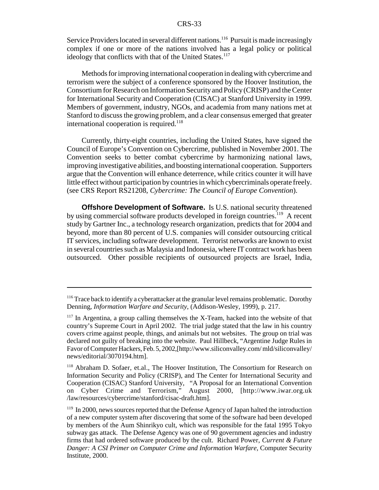Service Providers located in several different nations.<sup>116</sup> Pursuit is made increasingly complex if one or more of the nations involved has a legal policy or political ideology that conflicts with that of the United States.<sup>117</sup>

Methods for improving international cooperation in dealing with cybercrime and terrorism were the subject of a conference sponsored by the Hoover Institution, the Consortium for Research on Information Security and Policy (CRISP) and the Center for International Security and Cooperation (CISAC) at Stanford University in 1999. Members of government, industry, NGOs, and academia from many nations met at Stanford to discuss the growing problem, and a clear consensus emerged that greater international cooperation is required.<sup>118</sup>

Currently, thirty-eight countries, including the United States, have signed the Council of Europe's Convention on Cybercrime, published in November 2001. The Convention seeks to better combat cybercrime by harmonizing national laws, improving investigative abilities, and boosting international cooperation. Supporters argue that the Convention will enhance deterrence, while critics counter it will have little effect without participation by countries in which cybercriminals operate freely. (see CRS Report RS21208, *Cybercrime: The Council of Europe Convention*).

**Offshore Development of Software.** Is U.S. national security threatened by using commercial software products developed in foreign countries.<sup>119</sup> A recent study by Gartner Inc., a technology research organization, predicts that for 2004 and beyond, more than 80 percent of U.S. companies will consider outsourcing critical IT services, including software development. Terrorist networks are known to exist in several countries such as Malaysia and Indonesia, where IT contract work has been outsourced. Other possible recipients of outsourced projects are Israel, India,

 $116$  Trace back to identify a cyberattacker at the granular level remains problematic. Dorothy Denning, *Information Warfare and Security*, (Addison-Wesley, 1999), p. 217.

 $117$  In Argentina, a group calling themselves the X-Team, hacked into the website of that country's Supreme Court in April 2002. The trial judge stated that the law in his country covers crime against people, things, and animals but not websites. The group on trial was declared not guilty of breaking into the website. Paul Hillbeck, "Argentine Judge Rules in Favor of Computer Hackers, Feb. 5, 2002,[http://www.siliconvalley.com/ mld/siliconvalley/ news/editorial/3070194.htm].

<sup>118</sup> Abraham D. Sofaer, et.al., The Hoover Institution, The Consortium for Research on Information Security and Policy (CRISP), and The Center for International Security and Cooperation (CISAC) Stanford University, "A Proposal for an International Convention on Cyber Crime and Terrorism," August 2000, [http://www.iwar.org.uk /law/resources/cybercrime/stanford/cisac-draft.htm].

<sup>&</sup>lt;sup>119</sup> In 2000, news sources reported that the Defense Agency of Japan halted the introduction of a new computer system after discovering that some of the software had been developed by members of the Aum Shinrikyo cult, which was responsible for the fatal 1995 Tokyo subway gas attack. The Defense Agency was one of 90 government agencies and industry firms that had ordered software produced by the cult. Richard Power, *Current & Future Danger: A CSI Primer on Computer Crime and Information Warfare*, Computer Security Institute, 2000.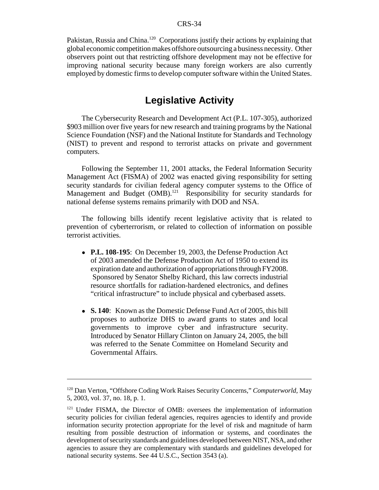Pakistan, Russia and China.<sup>120</sup> Corporations justify their actions by explaining that global economic competition makes offshore outsourcing a business necessity. Other observers point out that restricting offshore development may not be effective for improving national security because many foreign workers are also currently employed by domestic firms to develop computer software within the United States.

## **Legislative Activity**

The Cybersecurity Research and Development Act (P.L. 107-305), authorized \$903 million over five years for new research and training programs by the National Science Foundation (NSF) and the National Institute for Standards and Technology (NIST) to prevent and respond to terrorist attacks on private and government computers.

Following the September 11, 2001 attacks, the Federal Information Security Management Act (FISMA) of 2002 was enacted giving responsibility for setting security standards for civilian federal agency computer systems to the Office of Management and Budget  $(OMB).<sup>121</sup>$  Responsibility for security standards for national defense systems remains primarily with DOD and NSA.

The following bills identify recent legislative activity that is related to prevention of cyberterrorism, or related to collection of information on possible terrorist activities.

- ! **P.L. 108-195**: On December 19, 2003, the Defense Production Act of 2003 amended the Defense Production Act of 1950 to extend its expiration date and authorization of appropriations through FY2008. Sponsored by Senator Shelby Richard, this law corrects industrial resource shortfalls for radiation-hardened electronics, and defines "critical infrastructure" to include physical and cyberbased assets.
- ! **S. 140**: Known as the Domestic Defense Fund Act of 2005, this bill proposes to authorize DHS to award grants to states and local governments to improve cyber and infrastructure security. Introduced by Senator Hillary Clinton on January 24, 2005, the bill was referred to the Senate Committee on Homeland Security and Governmental Affairs.

<sup>120</sup> Dan Verton, "Offshore Coding Work Raises Security Concerns," *Computerworld*, May 5, 2003, vol. 37, no. 18, p. 1.

<sup>&</sup>lt;sup>121</sup> Under FISMA, the Director of OMB: oversees the implementation of information security policies for civilian federal agencies, requires agencies to identify and provide information security protection appropriate for the level of risk and magnitude of harm resulting from possible destruction of information or systems, and coordinates the development of security standards and guidelines developed between NIST, NSA, and other agencies to assure they are complementary with standards and guidelines developed for national security systems. See 44 U.S.C., Section 3543 (a).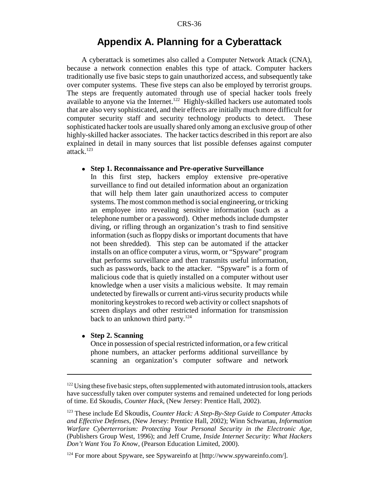## **Appendix A. Planning for a Cyberattack**

A cyberattack is sometimes also called a Computer Network Attack (CNA), because a network connection enables this type of attack. Computer hackers traditionally use five basic steps to gain unauthorized access, and subsequently take over computer systems. These five steps can also be employed by terrorist groups. The steps are frequently automated through use of special hacker tools freely available to anyone via the Internet.<sup>122</sup> Highly-skilled hackers use automated tools that are also very sophisticated, and their effects are initially much more difficult for computer security staff and security technology products to detect. These sophisticated hacker tools are usually shared only among an exclusive group of other highly-skilled hacker associates. The hacker tactics described in this report are also explained in detail in many sources that list possible defenses against computer attack.123

#### ! **Step 1. Reconnaissance and Pre-operative Surveillance**

In this first step, hackers employ extensive pre-operative surveillance to find out detailed information about an organization that will help them later gain unauthorized access to computer systems. The most common method is social engineering, or tricking an employee into revealing sensitive information (such as a telephone number or a password). Other methods include dumpster diving, or rifling through an organization's trash to find sensitive information (such as floppy disks or important documents that have not been shredded). This step can be automated if the attacker installs on an office computer a virus, worm, or "Spyware" program that performs surveillance and then transmits useful information, such as passwords, back to the attacker. "Spyware" is a form of malicious code that is quietly installed on a computer without user knowledge when a user visits a malicious website. It may remain undetected by firewalls or current anti-virus security products while monitoring keystrokes to record web activity or collect snapshots of screen displays and other restricted information for transmission back to an unknown third party.<sup>124</sup>

#### ! **Step 2. Scanning**

Once in possession of special restricted information, or a few critical phone numbers, an attacker performs additional surveillance by scanning an organization's computer software and network

<sup>&</sup>lt;sup>122</sup> Using these five basic steps, often supplemented with automated intrusion tools, attackers have successfully taken over computer systems and remained undetected for long periods of time. Ed Skoudis, *Counter Hack*, (New Jersey: Prentice Hall, 2002).

<sup>123</sup> These include Ed Skoudis, *Counter Hack: A Step-By-Step Guide to Computer Attacks and Effective Defenses*, (New Jersey: Prentice Hall, 2002); Winn Schwartau, *Information Warfare Cyberterrorism: Protecting Your Personal Security in the Electronic Age*, (Publishers Group West, 1996); and Jeff Crume, *Inside Internet Security: What Hackers Don't Want You To Kno*w, (Pearson Education Limited, 2000).

<sup>&</sup>lt;sup>124</sup> For more about Spyware, see Spywareinfo at [http://www.spywareinfo.com/].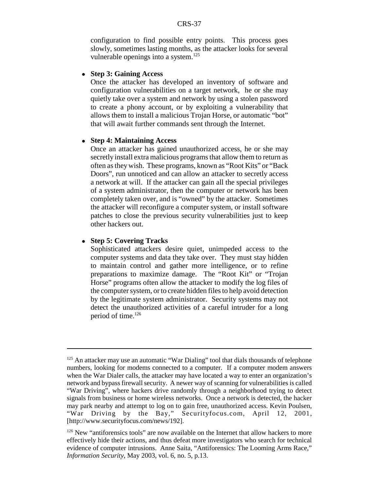configuration to find possible entry points. This process goes slowly, sometimes lasting months, as the attacker looks for several vulnerable openings into a system. $125$ 

#### ! **Step 3: Gaining Access**

Once the attacker has developed an inventory of software and configuration vulnerabilities on a target network, he or she may quietly take over a system and network by using a stolen password to create a phony account, or by exploiting a vulnerability that allows them to install a malicious Trojan Horse, or automatic "bot" that will await further commands sent through the Internet.

#### ! **Step 4: Maintaining Access**

Once an attacker has gained unauthorized access, he or she may secretly install extra malicious programs that allow them to return as often as they wish. These programs, known as "Root Kits" or "Back Doors", run unnoticed and can allow an attacker to secretly access a network at will. If the attacker can gain all the special privileges of a system administrator, then the computer or network has been completely taken over, and is "owned" by the attacker. Sometimes the attacker will reconfigure a computer system, or install software patches to close the previous security vulnerabilities just to keep other hackers out.

#### ! **Step 5: Covering Tracks**

Sophisticated attackers desire quiet, unimpeded access to the computer systems and data they take over. They must stay hidden to maintain control and gather more intelligence, or to refine preparations to maximize damage. The "Root Kit" or "Trojan Horse" programs often allow the attacker to modify the log files of the computer system, or to create hidden files to help avoid detection by the legitimate system administrator. Security systems may not detect the unauthorized activities of a careful intruder for a long period of time. $126$ 

 $125$  An attacker may use an automatic "War Dialing" tool that dials thousands of telephone numbers, looking for modems connected to a computer. If a computer modem answers when the War Dialer calls, the attacker may have located a way to enter an organization's network and bypass firewall security. A newer way of scanning for vulnerabilities is called "War Driving", where hackers drive randomly through a neighborhood trying to detect signals from business or home wireless networks. Once a network is detected, the hacker may park nearby and attempt to log on to gain free, unauthorized access. Kevin Poulsen, "War Driving by the Bay," Securityfocus.com, April 12, 2001, [http://www.securityfocus.com/news/192].

<sup>&</sup>lt;sup>126</sup> New "antiforensics tools" are now available on the Internet that allow hackers to more effectively hide their actions, and thus defeat more investigators who search for technical evidence of computer intrusions. Anne Saita, "Antiforensics: The Looming Arms Race," *Information Security*, May 2003, vol. 6, no. 5, p.13.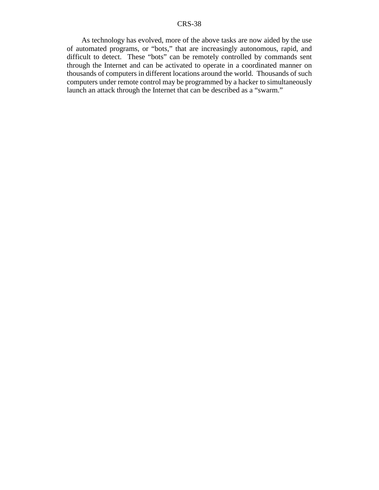As technology has evolved, more of the above tasks are now aided by the use of automated programs, or "bots," that are increasingly autonomous, rapid, and difficult to detect. These "bots" can be remotely controlled by commands sent through the Internet and can be activated to operate in a coordinated manner on thousands of computers in different locations around the world. Thousands of such computers under remote control may be programmed by a hacker to simultaneously launch an attack through the Internet that can be described as a "swarm."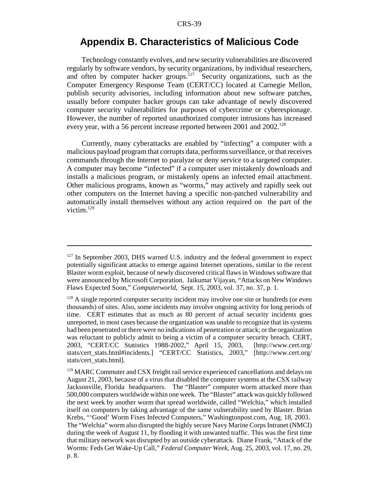## **Appendix B. Characteristics of Malicious Code**

Technology constantly evolves, and new security vulnerabilities are discovered regularly by software vendors, by security organizations, by individual researchers, and often by computer hacker groups.<sup>127</sup> Security organizations, such as the Computer Emergency Response Team (CERT/CC) located at Carnegie Mellon, publish security advisories, including information about new software patches, usually before computer hacker groups can take advantage of newly discovered computer security vulnerabilities for purposes of cybercrime or cyberespionage. However, the number of reported unauthorized computer intrusions has increased every year, with a 56 percent increase reported between 2001 and 2002.<sup>128</sup>

Currently, many cyberattacks are enabled by "infecting" a computer with a malicious payload program that corrupts data, performs surveillance, or that receives commands through the Internet to paralyze or deny service to a targeted computer. A computer may become "infected" if a computer user mistakenly downloads and installs a malicious program, or mistakenly opens an infected email attachment. Other malicious programs, known as "worms," may actively and rapidly seek out other computers on the Internet having a specific non-patched vulnerability and automatically install themselves without any action required on the part of the victim.<sup>129</sup>

 $127$  In September 2003, DHS warned U.S. industry and the federal government to expect potentially significant attacks to emerge against Internet operations, similar to the recent Blaster worm exploit, because of newly discovered critical flaws in Windows software that were announced by Microsoft Corporation. Jaikumar Vijayan, "Attacks on New Windows Flaws Expected Soon," *Computerworld*, Sept. 15, 2003, vol. 37, no. 37, p. 1.

 $128$  A single reported computer security incident may involve one site or hundreds (or even thousands) of sites. Also, some incidents may involve ongoing activity for long periods of time. CERT estimates that as much as 80 percent of actual security incidents goes unreported, in most cases because the organization was unable to recognize that its systems had been penetrated or there were no indications of penetration or attack; or the organization was reluctant to publicly admit to being a victim of a computer security breach. CERT, 2003, "CERT/CC Statistics 1988-2002," April 15, 2003, [http://www.cert.org/ stats/cert\_stats.html#incidents.] "CERT/CC Statistics, 2003," [http://www.cert.org/ stats/cert\_stats.html].

<sup>&</sup>lt;sup>129</sup> MARC Commuter and CSX freight rail service experienced cancellations and delays on August 21, 2003, because of a virus that disabled the computer systems at the CSX railway Jacksonville, Florida headquarters. The "Blaster" computer worm attacked more than 500,000 computers worldwide within one week. The "Blaster" attack was quickly followed the next week by another worm that spread worldwide, called "Welchia," which installed itself on computers by taking advantage of the same vulnerability used by Blaster. Brian Krebs, "'Good' Worm Fixes Infected Computers," Washingtonpost.com, Aug. 18, 2003. The "Welchia" worm also disrupted the highly secure Navy Marine Corps Intranet (NMCI) during the week of August 11, by flooding it with unwanted traffic. This was the first time that military network was disrupted by an outside cyberattack. Diane Frank, "Attack of the Worms: Feds Get Wake-Up Call," *Federal Computer Week*, Aug. 25, 2003, vol. 17, no. 29, p. 8.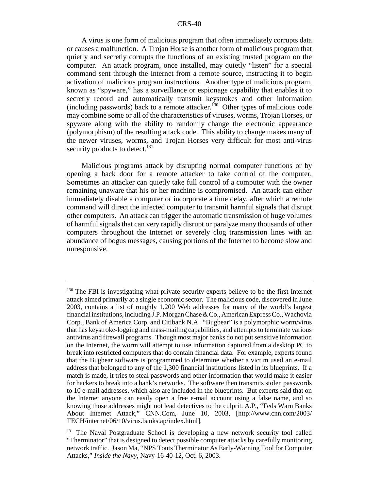A virus is one form of malicious program that often immediately corrupts data or causes a malfunction. A Trojan Horse is another form of malicious program that quietly and secretly corrupts the functions of an existing trusted program on the computer. An attack program, once installed, may quietly "listen" for a special command sent through the Internet from a remote source, instructing it to begin activation of malicious program instructions. Another type of malicious program, known as "spyware," has a surveillance or espionage capability that enables it to secretly record and automatically transmit keystrokes and other information (including passwords) back to a remote attacker.<sup>130</sup> Other types of malicious code may combine some or all of the characteristics of viruses, worms, Trojan Horses, or spyware along with the ability to randomly change the electronic appearance (polymorphism) of the resulting attack code. This ability to change makes many of the newer viruses, worms, and Trojan Horses very difficult for most anti-virus security products to detect.<sup>131</sup>

Malicious programs attack by disrupting normal computer functions or by opening a back door for a remote attacker to take control of the computer. Sometimes an attacker can quietly take full control of a computer with the owner remaining unaware that his or her machine is compromised. An attack can either immediately disable a computer or incorporate a time delay, after which a remote command will direct the infected computer to transmit harmful signals that disrupt other computers. An attack can trigger the automatic transmission of huge volumes of harmful signals that can very rapidly disrupt or paralyze many thousands of other computers throughout the Internet or severely clog transmission lines with an abundance of bogus messages, causing portions of the Internet to become slow and unresponsive.

<sup>&</sup>lt;sup>130</sup> The FBI is investigating what private security experts believe to be the first Internet attack aimed primarily at a single economic sector. The malicious code, discovered in June 2003, contains a list of roughly 1,200 Web addresses for many of the world's largest financial institutions, including J.P. Morgan Chase & Co., American Express Co., Wachovia Corp., Bank of America Corp. and Citibank N.A. "Bugbear" is a polymorphic worm/virus that has keystroke-logging and mass-mailing capabilities, and attempts to terminate various antivirus and firewall programs. Though most major banks do not put sensitive information on the Internet, the worm will attempt to use information captured from a desktop PC to break into restricted computers that do contain financial data. For example, experts found that the Bugbear software is programmed to determine whether a victim used an e-mail address that belonged to any of the 1,300 financial institutions listed in its blueprints. If a match is made, it tries to steal passwords and other information that would make it easier for hackers to break into a bank's networks. The software then transmits stolen passwords to 10 e-mail addresses, which also are included in the blueprints. But experts said that on the Internet anyone can easily open a free e-mail account using a false name, and so knowing those addresses might not lead detectives to the culprit. A.P., "Feds Warn Banks About Internet Attack," CNN.Com, June 10, 2003, [http://www.cnn.com/2003/ TECH/internet/06/10/virus.banks.ap/index.html].

<sup>&</sup>lt;sup>131</sup> The Naval Postgraduate School is developing a new network security tool called "Therminator" that is designed to detect possible computer attacks by carefully monitoring network traffic. Jason Ma, "NPS Touts Therminator As Early-Warning Tool for Computer Attacks," *Inside the Navy*, Navy-16-40-12, Oct. 6, 2003.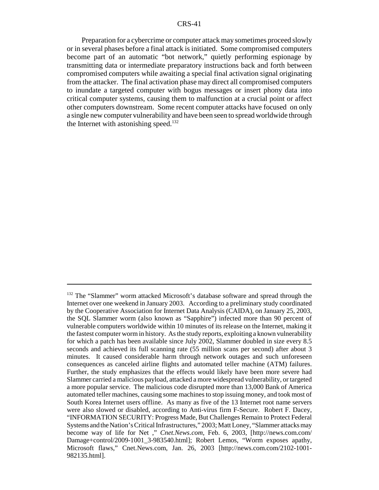Preparation for a cybercrime or computer attack may sometimes proceed slowly or in several phases before a final attack is initiated. Some compromised computers become part of an automatic "bot network," quietly performing espionage by transmitting data or intermediate preparatory instructions back and forth between compromised computers while awaiting a special final activation signal originating from the attacker. The final activation phase may direct all compromised computers to inundate a targeted computer with bogus messages or insert phony data into critical computer systems, causing them to malfunction at a crucial point or affect other computers downstream. Some recent computer attacks have focused on only a single new computer vulnerability and have been seen to spread worldwide through the Internet with astonishing speed. $132$ 

<sup>&</sup>lt;sup>132</sup> The "Slammer" worm attacked Microsoft's database software and spread through the Internet over one weekend in January 2003. According to a preliminary study coordinated by the Cooperative Association for Internet Data Analysis (CAIDA), on January 25, 2003, the SQL Slammer worm (also known as "Sapphire") infected more than 90 percent of vulnerable computers worldwide within 10 minutes of its release on the Internet, making it the fastest computer worm in history. As the study reports, exploiting a known vulnerability for which a patch has been available since July 2002, Slammer doubled in size every 8.5 seconds and achieved its full scanning rate (55 million scans per second) after about 3 minutes. It caused considerable harm through network outages and such unforeseen consequences as canceled airline flights and automated teller machine (ATM) failures. Further, the study emphasizes that the effects would likely have been more severe had Slammer carried a malicious payload, attacked a more widespread vulnerability, or targeted a more popular service. The malicious code disrupted more than 13,000 Bank of America automated teller machines, causing some machines to stop issuing money, and took most of South Korea Internet users offline. As many as five of the 13 Internet root name servers were also slowed or disabled, according to Anti-virus firm F-Secure. Robert F. Dacey, "INFORMATION SECURITY: Progress Made, But Challenges Remain to Protect Federal Systems and the Nation's Critical Infrastructures," 2003; Matt Loney, "Slammer attacks may become way of life for Net ," *Cnet.News.com,* Feb. 6, 2003, [http://news.com.com/ Damage+control/2009-1001\_3-983540.html]; Robert Lemos, "Worm exposes apathy, Microsoft flaws," Cnet.News.com, Jan. 26, 2003 [http://news.com.com/2102-1001- 982135.html].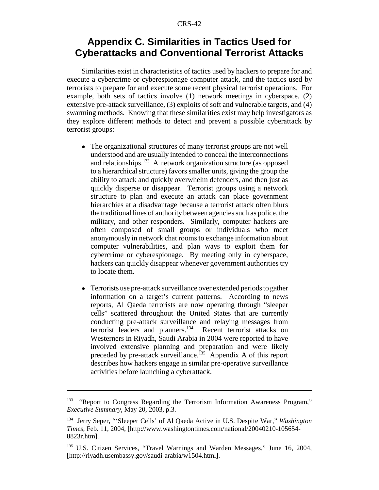## **Appendix C. Similarities in Tactics Used for Cyberattacks and Conventional Terrorist Attacks**

Similarities exist in characteristics of tactics used by hackers to prepare for and execute a cybercrime or cyberespionage computer attack, and the tactics used by terrorists to prepare for and execute some recent physical terrorist operations. For example, both sets of tactics involve (1) network meetings in cyberspace, (2) extensive pre-attack surveillance, (3) exploits of soft and vulnerable targets, and (4) swarming methods. Knowing that these similarities exist may help investigators as they explore different methods to detect and prevent a possible cyberattack by terrorist groups:

- The organizational structures of many terrorist groups are not well understood and are usually intended to conceal the interconnections and relationships.<sup>133</sup> A network organization structure (as opposed to a hierarchical structure) favors smaller units, giving the group the ability to attack and quickly overwhelm defenders, and then just as quickly disperse or disappear. Terrorist groups using a network structure to plan and execute an attack can place government hierarchies at a disadvantage because a terrorist attack often blurs the traditional lines of authority between agencies such as police, the military, and other responders. Similarly, computer hackers are often composed of small groups or individuals who meet anonymously in network chat rooms to exchange information about computer vulnerabilities, and plan ways to exploit them for cybercrime or cyberespionage. By meeting only in cyberspace, hackers can quickly disappear whenever government authorities try to locate them.
- Terrorists use pre-attack surveillance over extended periods to gather information on a target's current patterns. According to news reports, Al Qaeda terrorists are now operating through "sleeper cells" scattered throughout the United States that are currently conducting pre-attack surveillance and relaying messages from terrorist leaders and planners.<sup>134</sup> Recent terrorist attacks on Westerners in Riyadh, Saudi Arabia in 2004 were reported to have involved extensive planning and preparation and were likely preceded by pre-attack surveillance.<sup>135</sup> Appendix A of this report describes how hackers engage in similar pre-operative surveillance activities before launching a cyberattack.

<sup>&</sup>lt;sup>133</sup> "Report to Congress Regarding the Terrorism Information Awareness Program," *Executive Summary*, May 20, 2003, p.3.

<sup>134</sup> Jerry Seper, "'Sleeper Cells' of Al Qaeda Active in U.S. Despite War," *Washington Times*, Feb. 11, 2004, [http://www.washingtontimes.com/national/20040210-105654- 8823r.htm].

<sup>&</sup>lt;sup>135</sup> U.S. Citizen Services, "Travel Warnings and Warden Messages," June 16, 2004, [http://riyadh.usembassy.gov/saudi-arabia/w1504.html].